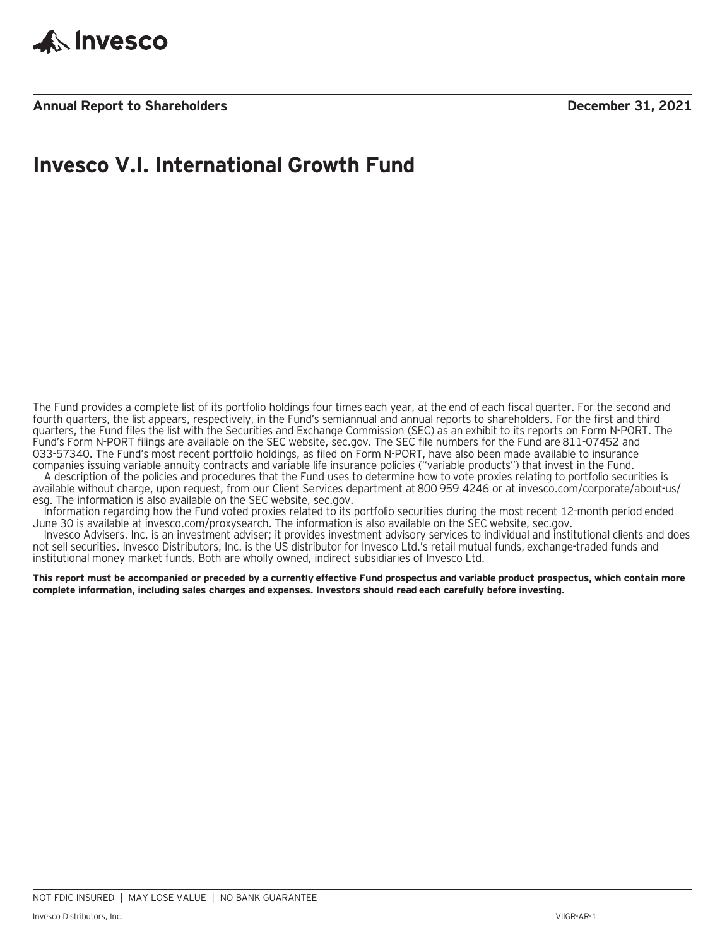

**Annual Report to Shareholders December 31, 2021**

### **Invesco V.I. International Growth Fund**

The Fund provides a complete list of its portfolio holdings four times each year, at the end of each fiscal quarter. For the second and fourth quarters, the list appears, respectively, in the Fund's semiannual and annual reports to shareholders. For the first and third quarters, the Fund files the list with the Securities and Exchange Commission (SEC) as an exhibit to its reports on Form N-PORT. The Fund's Form N-PORT filings are available on the SEC website, sec.gov. The SEC file numbers for the Fund are 811-07452 and 033-57340. The Fund's most recent portfolio holdings, as filed on Form N-PORT, have also been made available to insurance companies issuing variable annuity contracts and variable life insurance policies ("variable products") that invest in the Fund.

A description of the policies and procedures that the Fund uses to determine how to vote proxies relating to portfolio securities is available without charge, upon request, from our Client Services department at 800 959 4246 or at invesco.com/corporate/about-us/ esg. The information is also available on the SEC website, sec.gov.

Information regarding how the Fund voted proxies related to its portfolio securities during the most recent 12-month period ended June 30 is available at invesco.com/proxysearch. The information is also available on the SEC website, sec.gov.

Invesco Advisers, Inc. is an investment adviser; it provides investment advisory services to individual and institutional clients and does not sell securities. Invesco Distributors, Inc. is the US distributor for Invesco Ltd.'s retail mutual funds, exchange-traded funds and institutional money market funds. Both are wholly owned, indirect subsidiaries of Invesco Ltd.

**This report must be accompanied or preceded by a currently effective Fund prospectus and variable product prospectus, which contain more complete information, including sales charges and expenses. Investors should read each carefully before investing.**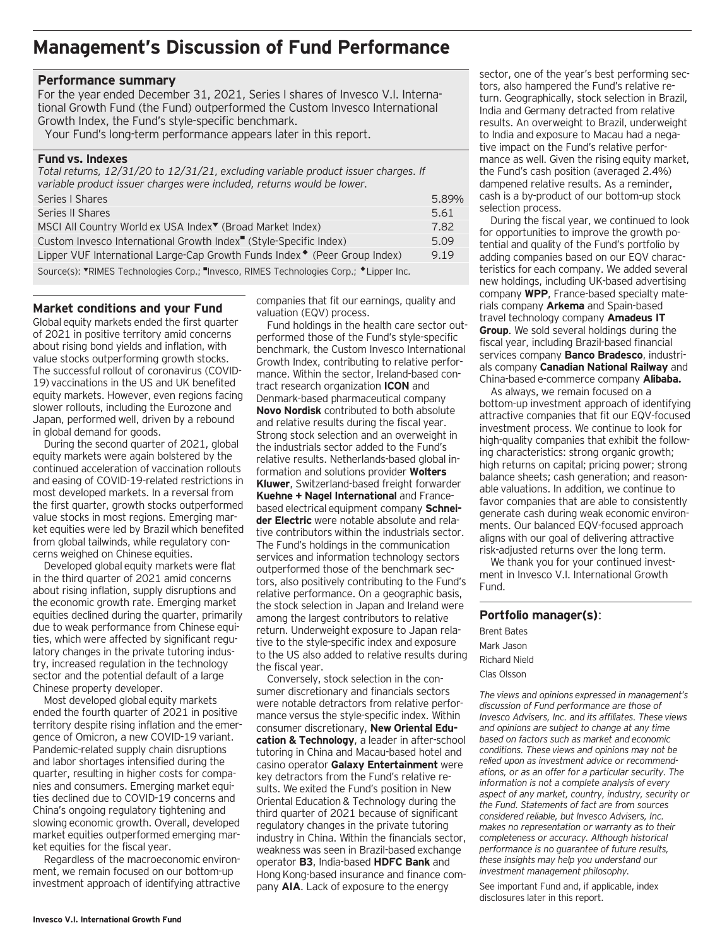### **Management's Discussion of Fund Performance**

#### **Performance summary**

For the year ended December 31, 2021, Series I shares of Invesco V.I. International Growth Fund (the Fund) outperformed the Custom Invesco International Growth Index, the Fund's style-specific benchmark.

Your Fund's long-term performance appears later in this report.

#### **Fund vs. Indexes**

*Total returns, 12/31/20 to 12/31/21, excluding variable product issuer charges. If variable product issuer charges were included, returns would be lower.*

| Series   Shares                                                                        | 5.89% |
|----------------------------------------------------------------------------------------|-------|
| Series II Shares                                                                       | 5.61  |
| MSCI All Country World ex USA Index <sup>▼</sup> (Broad Market Index)                  | 7.82  |
| Custom Invesco International Growth Index <sup>"</sup> (Style-Specific Index)          | 5.09  |
| Lipper VUF International Large-Cap Growth Funds Index • (Peer Group Index)             | 9.19  |
| Source(s): "RIMES Technologies Corp.; "Invesco, RIMES Technologies Corp.; *Lipper Inc. |       |

**Market conditions and your Fund**

Global equity markets ended the first quarter of 2021 in positive territory amid concerns about rising bond yields and inflation, with value stocks outperforming growth stocks. The successful rollout of coronavirus (COVID-19) vaccinations in the US and UK benefited equity markets. However, even regions facing slower rollouts, including the Eurozone and Japan, performed well, driven by a rebound in global demand for goods.

During the second quarter of 2021, global equity markets were again bolstered by the continued acceleration of vaccination rollouts and easing of COVID-19-related restrictions in most developed markets. In a reversal from the first quarter, growth stocks outperformed value stocks in most regions. Emerging market equities were led by Brazil which benefited from global tailwinds, while regulatory concerns weighed on Chinese equities.

Developed global equity markets were flat in the third quarter of 2021 amid concerns about rising inflation, supply disruptions and the economic growth rate. Emerging market equities declined during the quarter, primarily due to weak performance from Chinese equities, which were affected by significant regulatory changes in the private tutoring industry, increased regulation in the technology sector and the potential default of a large Chinese property developer.

Most developed global equity markets ended the fourth quarter of 2021 in positive territory despite rising inflation and the emergence of Omicron, a new COVID-19 variant. Pandemic-related supply chain disruptions and labor shortages intensified during the quarter, resulting in higher costs for companies and consumers. Emerging market equities declined due to COVID-19 concerns and China's ongoing regulatory tightening and slowing economic growth. Overall, developed market equities outperformed emerging market equities for the fiscal year.

Regardless of the macroeconomic environment, we remain focused on our bottom-up investment approach of identifying attractive companies that fit our earnings, quality and valuation (EQV) process.

Fund holdings in the health care sector outperformed those of the Fund's style-specific benchmark, the Custom Invesco International Growth Index, contributing to relative performance. Within the sector, Ireland-based contract research organization **ICON** and Denmark-based pharmaceutical company **Novo Nordisk** contributed to both absolute and relative results during the fiscal year. Strong stock selection and an overweight in the industrials sector added to the Fund's relative results. Netherlands-based global information and solutions provider **Wolters Kluwer**, Switzerland-based freight forwarder **Kuehne + Nagel International** and Francebased electrical equipment company **Schneider Electric** were notable absolute and relative contributors within the industrials sector. The Fund's holdings in the communication services and information technology sectors outperformed those of the benchmark sectors, also positively contributing to the Fund's relative performance. On a geographic basis, the stock selection in Japan and Ireland were among the largest contributors to relative return. Underweight exposure to Japan relative to the style-specific index and exposure to the US also added to relative results during the fiscal year.

Conversely, stock selection in the consumer discretionary and financials sectors were notable detractors from relative performance versus the style-specific index. Within consumer discretionary, **New Oriental Education & Technology**, a leader in after-school tutoring in China and Macau-based hotel and casino operator **Galaxy Entertainment** were key detractors from the Fund's relative results. We exited the Fund's position in New Oriental Education & Technology during the third quarter of 2021 because of significant regulatory changes in the private tutoring industry in China. Within the financials sector, weakness was seen in Brazil-based exchange operator **B3**, India-based **HDFC Bank** and Hong Kong-based insurance and finance company **AIA**. Lack of exposure to the energy

sector, one of the year's best performing sectors, also hampered the Fund's relative return. Geographically, stock selection in Brazil, India and Germany detracted from relative results. An overweight to Brazil, underweight to India and exposure to Macau had a negative impact on the Fund's relative performance as well. Given the rising equity market, the Fund's cash position (averaged 2.4%) dampened relative results. As a reminder, cash is a by-product of our bottom-up stock selection process.

During the fiscal year, we continued to look for opportunities to improve the growth potential and quality of the Fund's portfolio by adding companies based on our EQV characteristics for each company. We added several new holdings, including UK-based advertising company **WPP**, France-based specialty materials company **Arkema** and Spain-based travel technology company **Amadeus IT Group**. We sold several holdings during the fiscal year, including Brazil-based financial services company **Banco Bradesco**, industrials company **Canadian National Railway** and China-based e-commerce company **Alibaba.**

As always, we remain focused on a bottom-up investment approach of identifying attractive companies that fit our EQV-focused investment process. We continue to look for high-quality companies that exhibit the following characteristics: strong organic growth; high returns on capital; pricing power; strong balance sheets; cash generation; and reasonable valuations. In addition, we continue to favor companies that are able to consistently generate cash during weak economic environments. Our balanced EQV-focused approach aligns with our goal of delivering attractive risk-adjusted returns over the long term.

We thank you for your continued investment in Invesco V.I. International Growth Fund.

**Portfolio manager(s)**:

Brent Bates Mark Jason Richard Nield Clas Olsson

*The views and opinions expressed in management's discussion of Fund performance are those of Invesco Advisers, Inc. and its affiliates. These views and opinions are subject to change at any time based on factors such as market and economic conditions. These views and opinions may not be relied upon as investment advice or recommendations, or as an offer for a particular security. The information is not a complete analysis of every aspect of any market, country, industry, security or the Fund. Statements of fact are from sources considered reliable, but Invesco Advisers, Inc. makes no representation or warranty as to their completeness or accuracy. Although historical performance is no guarantee of future results, these insights may help you understand our investment management philosophy.*

See important Fund and, if applicable, index disclosures later in this report.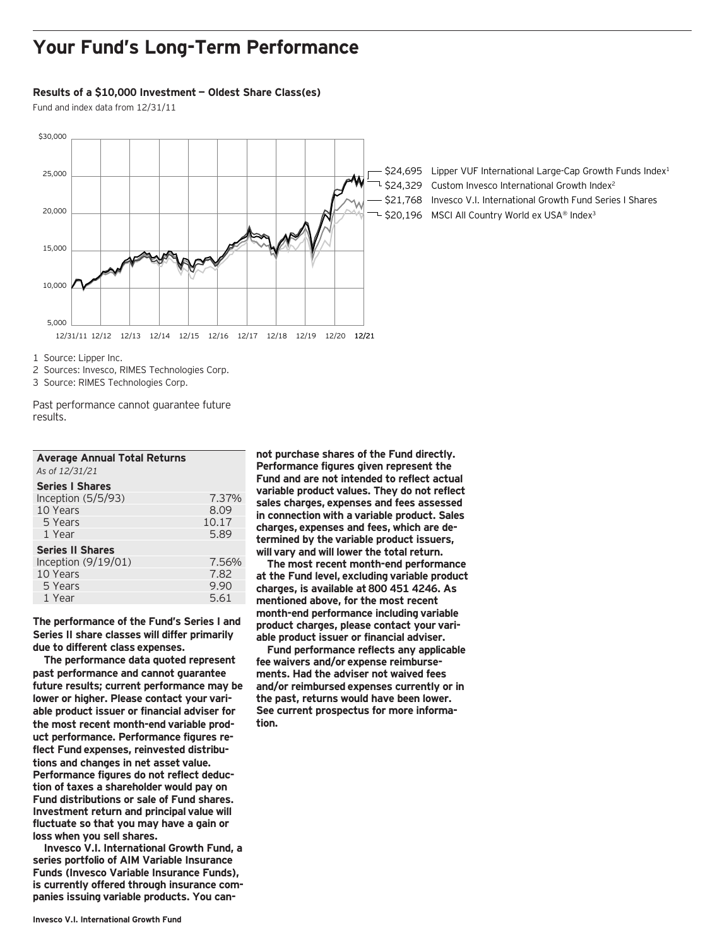### **Your Fund's Long-Term Performance**

#### **Results of a \$10,000 Investment — Oldest Share Class(es)**

Fund and index data from 12/31/11



 $-$  \$24,695 Lipper VUF International Large-Cap Growth Funds Index<sup>1</sup> 1 \$24,329 Custom Invesco International Growth Index<sup>2</sup> \$21,768 Invesco V.I. International Growth Fund Series I Shares L \$20,196 MSCI All Country World ex USA® Index<sup>3</sup>

1 Source: Lipper Inc.

2 Sources: Invesco, RIMES Technologies Corp.

3 Source: RIMES Technologies Corp.

Past performance cannot guarantee future results.

| <b>Average Annual Total Returns</b><br>As of 12/31/21 |       |
|-------------------------------------------------------|-------|
| <b>Series I Shares</b>                                |       |
| Inception (5/5/93)                                    | 7.37% |
| 10 Years                                              | 8.09  |
| 5 Years                                               | 10.17 |
| 1 Year                                                | 5.89  |
| <b>Series II Shares</b>                               |       |
| Inception (9/19/01)                                   | 7.56% |
| 10 Years                                              | 7.82  |
| 5 Years                                               | 9.90  |
| 1 Year                                                | 5.61  |

**The performance of the Fund's Series I and Series II share classes will differ primarily due to different class expenses.**

**The performance data quoted represent past performance and cannot guarantee future results; current performance may be lower or higher. Please contact your variable product issuer or financial adviser for the most recent month-end variable product performance. Performance figures reflect Fund expenses, reinvested distributions and changes in net asset value. Performance figures do not reflect deduction of taxes a shareholder would pay on Fund distributions or sale of Fund shares. Investment return and principal value will fluctuate so that you may have a gain or loss when you sell shares.**

**Invesco V.I. International Growth Fund, a series portfolio of AIM Variable Insurance Funds (Invesco Variable Insurance Funds), is currently offered through insurance companies issuing variable products. You can-** **not purchase shares of the Fund directly. Performance figures given represent the Fund and are not intended to reflect actual variable product values. They do not reflect sales charges, expenses and fees assessed in connection with a variable product. Sales charges, expenses and fees, which are determined by the variable product issuers, will vary and will lower the total return.**

**The most recent month-end performance at the Fund level, excluding variable product charges, is available at 800 451 4246. As mentioned above, for the most recent month-end performance including variable product charges, please contact your variable product issuer or financial adviser.**

**Fund performance reflects any applicable fee waivers and/or expense reimbursements. Had the adviser not waived fees and/or reimbursed expenses currently or in the past, returns would have been lower. See current prospectus for more information.**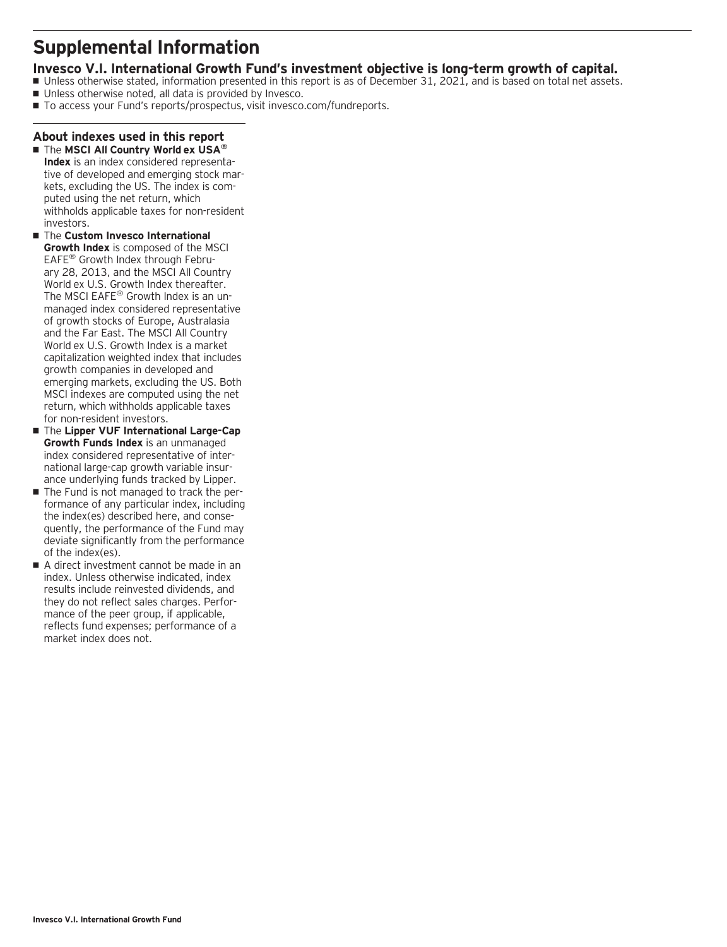### **Supplemental Information**

### **Invesco V.I. International Growth Fund's investment objective is long-term growth of capital.**

- Unless otherwise stated, information presented in this report is as of December 31, 2021, and is based on total net assets.
- Unless otherwise noted, all data is provided by Invesco.
- To access your Fund's reports/prospectus, visit invesco.com/fundreports.

### **About indexes used in this report** ■ The **MSCI All Country World ex USA<sup>®</sup>**

- **Index** is an index considered representative of developed and emerging stock markets, excluding the US. The index is computed using the net return, which withholds applicable taxes for non-resident investors.
- $\blacksquare$  The **Custom Invesco International Growth Index** is composed of the MSCI EAFE® Growth Index through February 28, 2013, and the MSCI All Country World ex U.S. Growth Index thereafter. The MSCI EAFE<sup>®</sup> Growth Index is an unmanaged index considered representative of growth stocks of Europe, Australasia and the Far East. The MSCI All Country World ex U.S. Growth Index is a market capitalization weighted index that includes growth companies in developed and emerging markets, excluding the US. Both MSCI indexes are computed using the net return, which withholds applicable taxes for non-resident investors.
- The **Lipper VUF International Large-Cap Growth Funds Index** is an unmanaged index considered representative of international large-cap growth variable insurance underlying funds tracked by Lipper.
- The Fund is not managed to track the performance of any particular index, including the index(es) described here, and consequently, the performance of the Fund may deviate significantly from the performance of the index(es).
- A direct investment cannot be made in an index. Unless otherwise indicated, index results include reinvested dividends, and they do not reflect sales charges. Performance of the peer group, if applicable, reflects fund expenses; performance of a market index does not.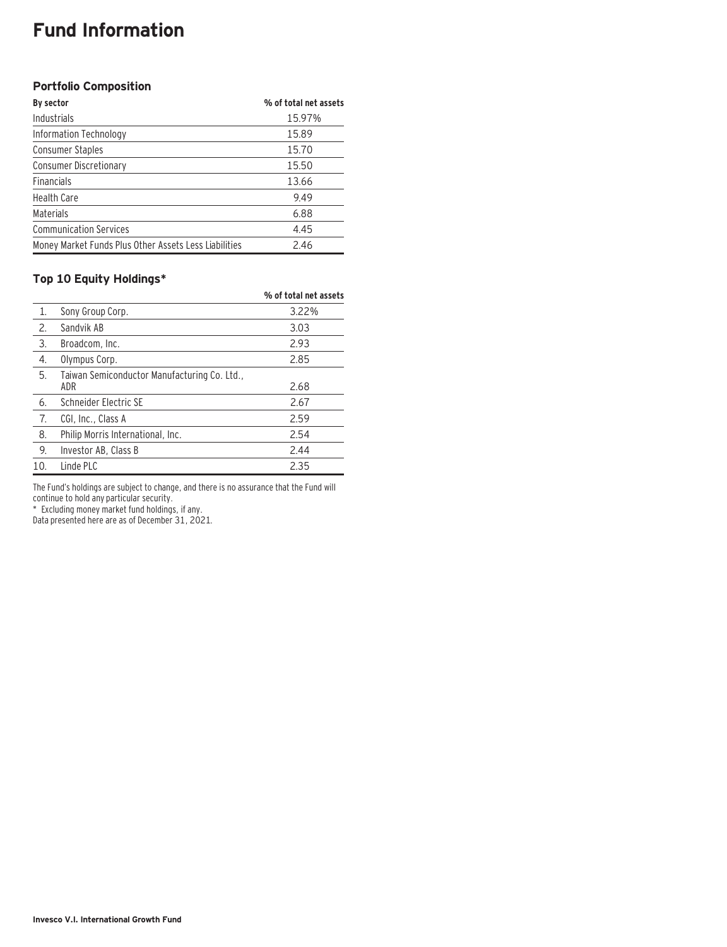### **Fund Information**

### **Portfolio Composition**

| By sector                                             | % of total net assets |
|-------------------------------------------------------|-----------------------|
| Industrials                                           | 15.97%                |
| Information Technology                                | 15.89                 |
| Consumer Staples                                      | 15.70                 |
| <b>Consumer Discretionary</b>                         | 15.50                 |
| <b>Financials</b>                                     | 13.66                 |
| <b>Health Care</b>                                    | 9.49                  |
| Materials                                             | 6.88                  |
| <b>Communication Services</b>                         | 4.45                  |
| Money Market Funds Plus Other Assets Less Liabilities | 2.46                  |

### **Top 10 Equity Holdings\***

|     |                                                     | % of total net assets |
|-----|-----------------------------------------------------|-----------------------|
| 1.  | Sony Group Corp.                                    | 3.22%                 |
| 2.  | Sandvik AB                                          | 3.03                  |
| 3.  | Broadcom, Inc.                                      | 2.93                  |
| 4.  | Olympus Corp.                                       | 2.85                  |
| 5.  | Taiwan Semiconductor Manufacturing Co. Ltd.,<br>ADR | 2.68                  |
| 6.  | Schneider Electric SE                               | 2.67                  |
| 7.  | CGI, Inc., Class A                                  | 2.59                  |
| 8.  | Philip Morris International, Inc.                   | 2.54                  |
| 9.  | Investor AB, Class B                                | 2.44                  |
| 10. | Linde PLC                                           | 2.35                  |

The Fund's holdings are subject to change, and there is no assurance that the Fund will continue to hold any particular security.

\* Excluding money market fund holdings, if any.

Data presented here are as of December 31, 2021.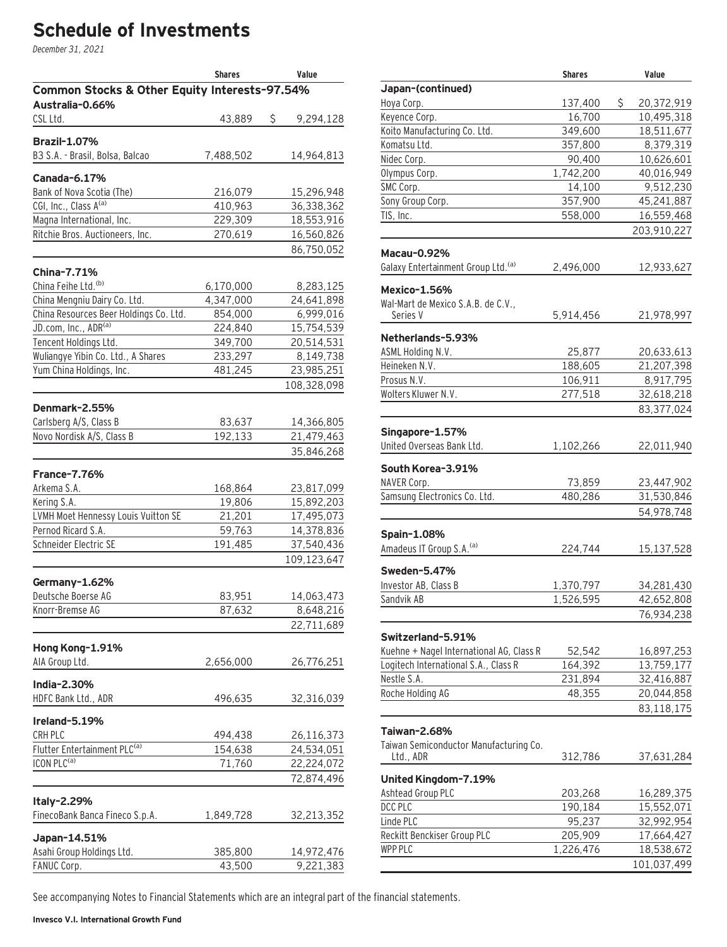# **Schedule of Investments**

December 31, 2021

|                                               | <b>Shares</b> | Value           |
|-----------------------------------------------|---------------|-----------------|
| Common Stocks & Other Equity Interests-97.54% |               |                 |
| Australia-0.66%                               |               |                 |
| CSL Ltd.                                      | 43,889        | \$<br>9,294,128 |
| <b>Brazil-1.07%</b>                           |               |                 |
| B3 S.A. - Brasil, Bolsa, Balcao               | 7,488,502     | 14,964,813      |
|                                               |               |                 |
| Canada-6.17%                                  |               |                 |
| Bank of Nova Scotia (The)                     | 216,079       | 15,296,948      |
| CGI, Inc., Class A <sup>(a)</sup>             | 410,963       | 36,338,362      |
| Magna International, Inc.                     | 229,309       | 18,553,916      |
| Ritchie Bros. Auctioneers, Inc.               | 270,619       | 16,560,826      |
|                                               |               | 86,750,052      |
| China-7.71%                                   |               |                 |
| China Feihe Ltd. <sup>(b)</sup>               | 6,170,000     | 8,283,125       |
| China Mengniu Dairy Co. Ltd.                  | 4,347,000     | 24,641,898      |
| China Resources Beer Holdings Co. Ltd.        | 854,000       | 6,999,016       |
| JD.com, Inc., ADR(a)                          | 224,840       | 15,754,539      |
| Tencent Holdings Ltd.                         | 349,700       | 20,514,531      |
| Wuliangye Yibin Co. Ltd., A Shares            | 233,297       | 8,149,738       |
| Yum China Holdings, Inc.                      | 481,245       | 23,985,251      |
|                                               |               | 108,328,098     |
|                                               |               |                 |
| Denmark-2.55%                                 |               |                 |
| Carlsberg A/S, Class B                        | 83,637        | 14,366,805      |
| Novo Nordisk A/S, Class B                     | 192,133       | 21,479,463      |
|                                               |               | 35,846,268      |
| <b>France-7.76%</b>                           |               |                 |
| Arkema S.A.                                   | 168,864       | 23,817,099      |
| Kering S.A.                                   | 19,806        | 15,892,203      |
| LVMH Moet Hennessy Louis Vuitton SE           | 21,201        | 17,495,073      |
| Pernod Ricard S.A.                            | 59,763        | 14,378,836      |
| Schneider Electric SE                         | 191,485       | 37,540,436      |
|                                               |               | 109,123,647     |
|                                               |               |                 |
| Germany-1.62%                                 |               |                 |
| Deutsche Boerse AG                            | 83,951        | 14,063,473      |
| Knorr-Bremse AG                               | 87,632        | 8,648,216       |
|                                               |               | 22,711,689      |
| Hong Kong-1.91%                               |               |                 |
| AIA Group Ltd.                                | 2,656,000     | 26,776,251      |
|                                               |               |                 |
| India-2.30%                                   |               |                 |
| HDFC Bank Ltd., ADR                           | 496,635       | 32,316,039      |
| Ireland-5.19%                                 |               |                 |
| CRH PLC                                       | 494,438       | 26,116,373      |
| Flutter Entertainment PLC <sup>(a)</sup>      | 154,638       | 24,534,051      |
| ICON PLC <sup>(a)</sup>                       | 71,760        | 22,224,072      |
|                                               |               | 72,874,496      |
|                                               |               |                 |
| Italy-2.29%                                   |               |                 |
| FinecoBank Banca Fineco S.p.A.                | 1,849,728     | 32,213,352      |
| Japan-14.51%                                  |               |                 |
| Asahi Group Holdings Ltd.                     | 385,800       | 14,972,476      |
| FANUC Corp.                                   | 43,500        | 9,221,383       |

|                                          | <b>Shares</b> | Value             |  |
|------------------------------------------|---------------|-------------------|--|
| Japan-(continued)                        |               |                   |  |
| Hoya Corp.                               | 137,400       | \$.<br>20,372,919 |  |
| Keyence Corp.                            | 16,700        | 10,495,318        |  |
| Koito Manufacturing Co. Ltd.             | 349,600       | 18,511,677        |  |
| Komatsu Ltd.                             | 357,800       | 8,379,319         |  |
| Nidec Corp.                              | 90,400        | 10,626,601        |  |
| Olympus Corp.                            | 1,742,200     | 40,016,949        |  |
| SMC Corp.                                | 14,100        | 9,512,230         |  |
| Sony Group Corp.                         | 357,900       | 45,241,887        |  |
| TIS, Inc.                                | 558,000       | 16,559,468        |  |
|                                          |               | 203,910,227       |  |
| <b>Macau-0.92%</b>                       |               |                   |  |
| Galaxy Entertainment Group Ltd. (a)      | 2,496,000     | 12,933,627        |  |
| <b>Mexico-1.56%</b>                      |               |                   |  |
| Wal-Mart de Mexico S.A.B. de C.V.,       |               |                   |  |
| Series V                                 | 5,914,456     | 21,978,997        |  |
|                                          |               |                   |  |
| Netherlands-5.93%                        |               |                   |  |
| ASML Holding N.V.                        | 25,877        | 20,633,613        |  |
| Heineken N.V.                            | 188,605       | 21,207,398        |  |
| Prosus N.V.                              | 106,911       | 8,917,795         |  |
| Wolters Kluwer N.V.                      | 277,518       | 32,618,218        |  |
|                                          |               | 83,377,024        |  |
|                                          |               |                   |  |
| Singapore-1.57%                          |               |                   |  |
| United Overseas Bank Ltd.                | 1,102,266     | 22,011,940        |  |
| South Korea-3.91%                        |               |                   |  |
| NAVER Corp.                              | 73,859        | 23,447,902        |  |
| Samsung Electronics Co. Ltd.             | 480,286       | 31,530,846        |  |
|                                          |               | 54,978,748        |  |
|                                          |               |                   |  |
| Spain-1.08%                              |               |                   |  |
| Amadeus IT Group S.A. (a)                | 224,744       | 15,137,528        |  |
| Sweden-5.47%                             |               |                   |  |
| Investor AB, Class B                     | 1,370,797     | 34,281,430        |  |
| Sandvik AB                               | 1,526,595     | 42,652,808        |  |
|                                          |               | 76,934,238        |  |
|                                          |               |                   |  |
| Switzerland-5.91%                        |               |                   |  |
| Kuehne + Nagel International AG, Class R | 52,542        | 16,897,253        |  |
| Logitech International S.A., Class R     | 164,392       | 13,759,177        |  |
| Nestle S.A.                              | 231,894       | 32,416,887        |  |
| Roche Holding AG                         | 48,355        | 20,044,858        |  |
|                                          |               | 83,118,175        |  |
|                                          |               |                   |  |
| Taiwan-2.68%                             |               |                   |  |
| Taiwan Semiconductor Manufacturing Co.   |               |                   |  |
| Ltd., ADR                                | 312,786       | 37,631,284        |  |
| United Kingdom-7.19%                     |               |                   |  |
| Ashtead Group PLC                        | 203,268       | 16,289,375        |  |
| DCC PLC                                  | 190,184       | 15,552,071        |  |
| Linde PLC                                | 95,237        | 32,992,954        |  |
| Reckitt Benckiser Group PLC              | 205,909       | 17,664,427        |  |
| <b>WPP PLC</b>                           |               |                   |  |
|                                          | 1,226,476     | 18,538,672        |  |
|                                          |               | 101,037,499       |  |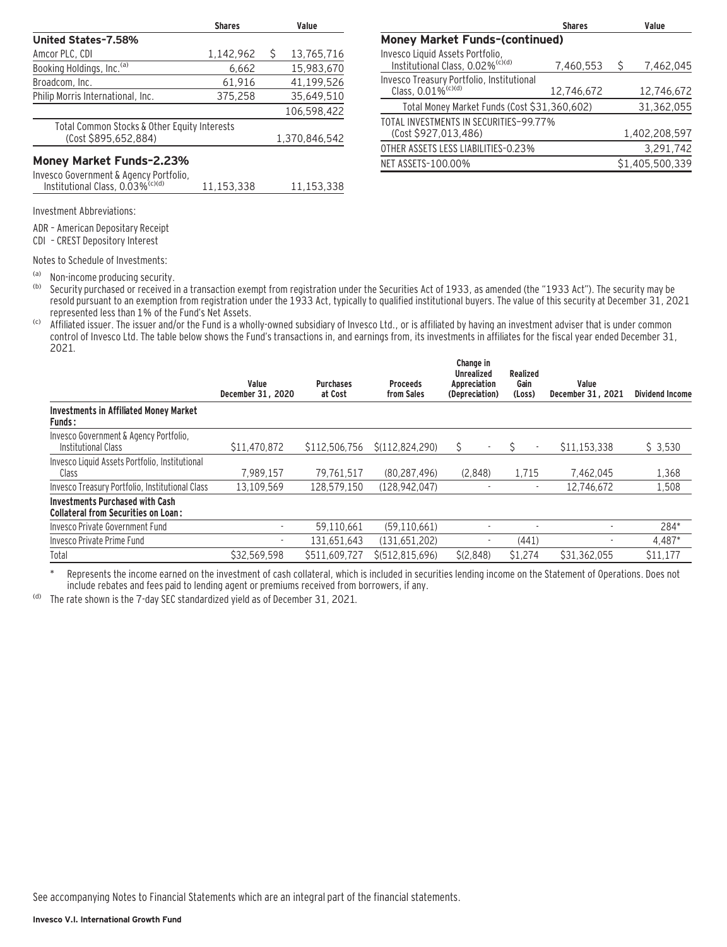|                                                                                        | <b>Shares</b> |   | Value         |
|----------------------------------------------------------------------------------------|---------------|---|---------------|
| United States-7.58%                                                                    |               |   |               |
| Amcor PLC, CDI                                                                         | 1,142,962     | Ŝ | 13.765.716    |
| Booking Holdings, Inc. <sup>(a)</sup>                                                  | 6.662         |   | 15.983.670    |
| Broadcom, Inc.                                                                         | 61.916        |   | 41,199,526    |
| Philip Morris International, Inc.                                                      | 375.258       |   | 35.649.510    |
|                                                                                        |               |   | 106.598.422   |
| Total Common Stocks & Other Equity Interests<br>(Cost \$895,652,884)                   |               |   | 1,370,846,542 |
| Money Market Funds-2.23%                                                               |               |   |               |
| Invesco Government & Agency Portfolio,<br>Institutional Class, 0.03% <sup>(c)(d)</sup> | 11.153.338    |   | 11.153.338    |
|                                                                                        |               |   |               |

|                                                                                  | <b>Shares</b> |   | Value           |
|----------------------------------------------------------------------------------|---------------|---|-----------------|
| <b>Money Market Funds-(continued)</b>                                            |               |   |                 |
| Invesco Liquid Assets Portfolio,<br>Institutional Class, 0.02% <sup>(c)(d)</sup> | 7,460,553     | Ŝ | 7,462,045       |
| Invesco Treasury Portfolio, Institutional<br>Class, 0.01% <sup>(c)(d)</sup>      | 12,746,672    |   | 12,746,672      |
| Total Money Market Funds (Cost \$31,360,602)                                     |               |   | 31,362,055      |
| TOTAL INVESTMENTS IN SECURITIES-99.77%<br>(Cost \$927,013,486)                   |               |   | 1,402,208,597   |
| OTHER ASSETS LESS LIABILITIES-0.23%                                              |               |   | 3,291,742       |
| NET ASSETS-100.00%                                                               |               |   | \$1.405.500.339 |

Investment Abbreviations:

ADR – American Depositary Receipt

CDI – CREST Depository Interest

Notes to Schedule of Investments:

(a) Non-income producing security.<br>(b) Security purchased or received in

Security purchased or received in a transaction exempt from registration under the Securities Act of 1933, as amended (the "1933 Act"). The security may be resold pursuant to an exemption from registration under the 1933 Act, typically to qualified institutional buyers. The value of this security at December 31, 2021 represented less than 1% of the Fund's Net Assets.

(c) Affiliated issuer. The issuer and/or the Fund is a wholly-owned subsidiary of Invesco Ltd., or is affiliated by having an investment adviser that is under common control of Invesco Ltd. The table below shows the Fund's transactions in, and earnings from, its investments in affiliates for the fiscal year ended December 31, 2021.

|                                                                                      | Value<br>December 31, 2020 | <b>Purchases</b><br>at Cost | <b>Proceeds</b><br>from Sales | Change in<br><b>Unrealized</b><br>Appreciation<br>(Depreciation) | Realized<br>Gain<br>(Loss) | Value<br>December 31, 2021 | <b>Dividend Income</b> |
|--------------------------------------------------------------------------------------|----------------------------|-----------------------------|-------------------------------|------------------------------------------------------------------|----------------------------|----------------------------|------------------------|
| <b>Investments in Affiliated Money Market</b><br><b>Funds:</b>                       |                            |                             |                               |                                                                  |                            |                            |                        |
| Invesco Government & Agency Portfolio,<br>Institutional Class                        | \$11,470,872               | \$112.506.756               | \$(112.824.290)               | Ŝ                                                                | $\overline{\phantom{a}}$   | \$11,153,338               | \$3,530                |
| Invesco Liquid Assets Portfolio, Institutional<br>Class                              | 7.989.157                  | 79,761,517                  | (80.287.496)                  | (2.848)                                                          | 1.715                      | 7.462.045                  | 1,368                  |
| Invesco Treasury Portfolio, Institutional Class                                      | 13.109.569                 | 128.579.150                 | (128.942.047)                 |                                                                  | ٠                          | 12.746.672                 | 1,508                  |
| <b>Investments Purchased with Cash</b><br><b>Collateral from Securities on Loan:</b> |                            |                             |                               |                                                                  |                            |                            |                        |
| Invesco Private Government Fund                                                      |                            | 59.110.661                  | (59, 110, 661)                |                                                                  |                            |                            | 284*                   |
| Invesco Private Prime Fund                                                           |                            | 131.651.643                 | (131,651,202)                 |                                                                  | (441)                      |                            | 4.487*                 |
| Total                                                                                | \$32.569.598               | \$511.609.727               | \$ (512.815.696)              | S(2.848)                                                         | \$1,274                    | \$31.362.055               | \$11.177               |

\* Represents the income earned on the investment of cash collateral, which is included in securities lending income on the Statement of Operations. Does not include rebates and fees paid to lending agent or premiums received from borrowers, if any.

(d) The rate shown is the 7-day SEC standardized yield as of December 31, 2021.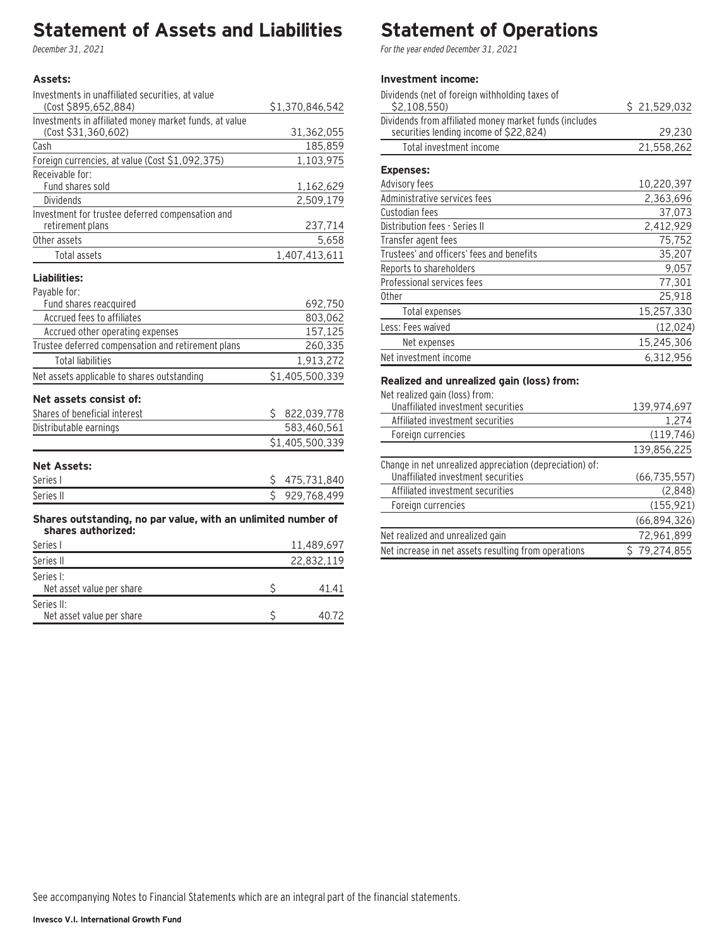# **Statement of Assets and Liabilities**

December 31, 2021

### **Assets:**

| Investments in unaffiliated securities, at value                                    |    |                 |
|-------------------------------------------------------------------------------------|----|-----------------|
| (Cost \$895,652,884)                                                                |    | \$1,370,846,542 |
| Investments in affiliated money market funds, at value<br>(Cost \$31,360,602)       |    | 31,362,055      |
| Cash                                                                                |    | 185,859         |
| Foreign currencies, at value (Cost \$1,092,375)                                     |    | 1,103,975       |
| Receivable for:                                                                     |    |                 |
| Fund shares sold                                                                    |    | 1,162,629       |
| <b>Dividends</b>                                                                    |    | 2,509,179       |
| Investment for trustee deferred compensation and                                    |    |                 |
| retirement plans                                                                    |    | 237,714         |
| Other assets                                                                        |    | 5,658           |
| <b>Total assets</b>                                                                 |    | 1,407,413,611   |
| Liabilities:                                                                        |    |                 |
| Payable for:                                                                        |    |                 |
| Fund shares reacquired                                                              |    | 692,750         |
| Accrued fees to affiliates                                                          |    | 803,062         |
| Accrued other operating expenses                                                    |    | 157,125         |
| Trustee deferred compensation and retirement plans                                  |    | 260,335         |
| <b>Total liabilities</b>                                                            |    | 1,913,272       |
| Net assets applicable to shares outstanding                                         |    | \$1,405,500,339 |
| Net assets consist of:                                                              |    |                 |
| Shares of beneficial interest                                                       | Ś. | 822,039,778     |
| Distributable earnings                                                              |    | 583,460,561     |
|                                                                                     |    | \$1,405,500,339 |
| <b>Net Assets:</b>                                                                  |    |                 |
| Series I                                                                            | \$ | 475,731,840     |
| Series II                                                                           | Ś. | 929,768,499     |
| Shares outstanding, no par value, with an unlimited number of<br>shares authorized: |    |                 |
| Series I                                                                            |    | 11,489,697      |
| Series II                                                                           |    | 22,832,119      |
| Series I:                                                                           |    |                 |
| Net asset value per share                                                           | \$ | 41.41           |
| Series II:                                                                          |    |                 |

Net asset value per share  $\sim$  40.72

# **Statement of Operations**

For the year ended December 31, 2021

### **Investment income:**

| Dividends (net of foreign withholding taxes of                                                   |              |
|--------------------------------------------------------------------------------------------------|--------------|
| \$2,108,550)                                                                                     | \$21,529,032 |
| Dividends from affiliated money market funds (includes<br>securities lending income of \$22,824) | 29,230       |
| Total investment income                                                                          | 21,558,262   |
| <b>Expenses:</b>                                                                                 |              |
| Advisory fees                                                                                    | 10,220,397   |
| Administrative services fees                                                                     | 2,363,696    |
| Custodian fees                                                                                   | 37,073       |
| Distribution fees - Series II                                                                    | 2,412,929    |
| Transfer agent fees                                                                              | 75,752       |
| Trustees' and officers' fees and benefits                                                        | 35,207       |
| Reports to shareholders                                                                          | 9,057        |
| Professional services fees                                                                       | 77,301       |
| 0ther                                                                                            | 25,918       |
| Total expenses                                                                                   | 15,257,330   |
| Less: Fees waived                                                                                | (12, 024)    |
| Net expenses                                                                                     | 15,245,306   |
| Net investment income                                                                            | 6.312.956    |

#### **Realized and unrealized gain (loss) from:**

Net realized gain (loss) from:

| <u>NEL I CANZEU YANI (1933) TI VIII.</u>                 |                |
|----------------------------------------------------------|----------------|
| Unaffiliated investment securities                       | 139,974,697    |
| Affiliated investment securities                         | 1,274          |
| Foreign currencies                                       | (119, 746)     |
|                                                          | 139,856,225    |
| Change in net unrealized appreciation (depreciation) of: |                |
| Unaffiliated investment securities                       | (66, 735, 557) |
| Affiliated investment securities                         | (2,848)        |
| Foreign currencies                                       | (155, 921)     |
|                                                          | (66,894,326)   |
| Net realized and unrealized gain                         | 72,961,899     |
| Net increase in net assets resulting from operations     | \$79,274,855   |
|                                                          |                |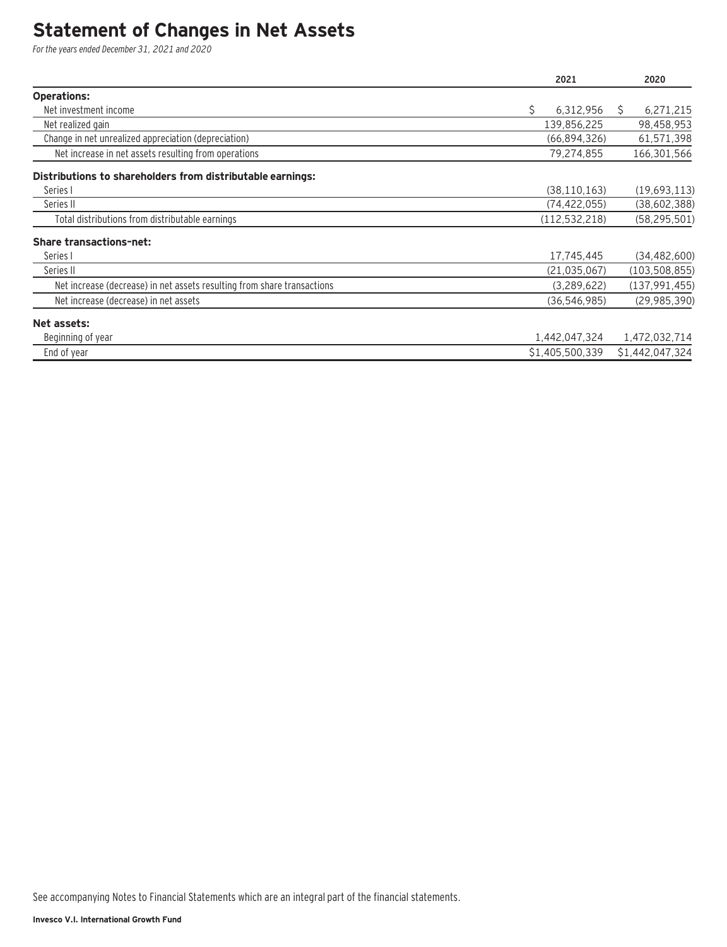### **Statement of Changes in Net Assets**

For the years ended December 31, 2021 and 2020

|                                                                         | 2021            | 2020            |
|-------------------------------------------------------------------------|-----------------|-----------------|
| <b>Operations:</b>                                                      |                 |                 |
| Net investment income                                                   | Ś.<br>6,312,956 | 6,271,215<br>S. |
| Net realized gain                                                       | 139,856,225     | 98,458,953      |
| Change in net unrealized appreciation (depreciation)                    | (66,894,326)    | 61,571,398      |
| Net increase in net assets resulting from operations                    | 79,274,855      | 166,301,566     |
| Distributions to shareholders from distributable earnings:              |                 |                 |
| Series I                                                                | (38, 110, 163)  | (19,693,113)    |
| Series II                                                               | (74, 422, 055)  | (38,602,388)    |
| Total distributions from distributable earnings                         | (112, 532, 218) | (58, 295, 501)  |
| <b>Share transactions-net:</b>                                          |                 |                 |
| Series I                                                                | 17,745,445      | (34, 482, 600)  |
| Series II                                                               | (21, 035, 067)  | (103, 508, 855) |
| Net increase (decrease) in net assets resulting from share transactions | (3,289,622)     | (137, 991, 455) |
| Net increase (decrease) in net assets                                   | (36, 546, 985)  | (29, 985, 390)  |
| Net assets:                                                             |                 |                 |
| Beginning of year                                                       | 1,442,047,324   | 1,472,032,714   |
| End of year                                                             | \$1,405,500,339 | \$1,442,047,324 |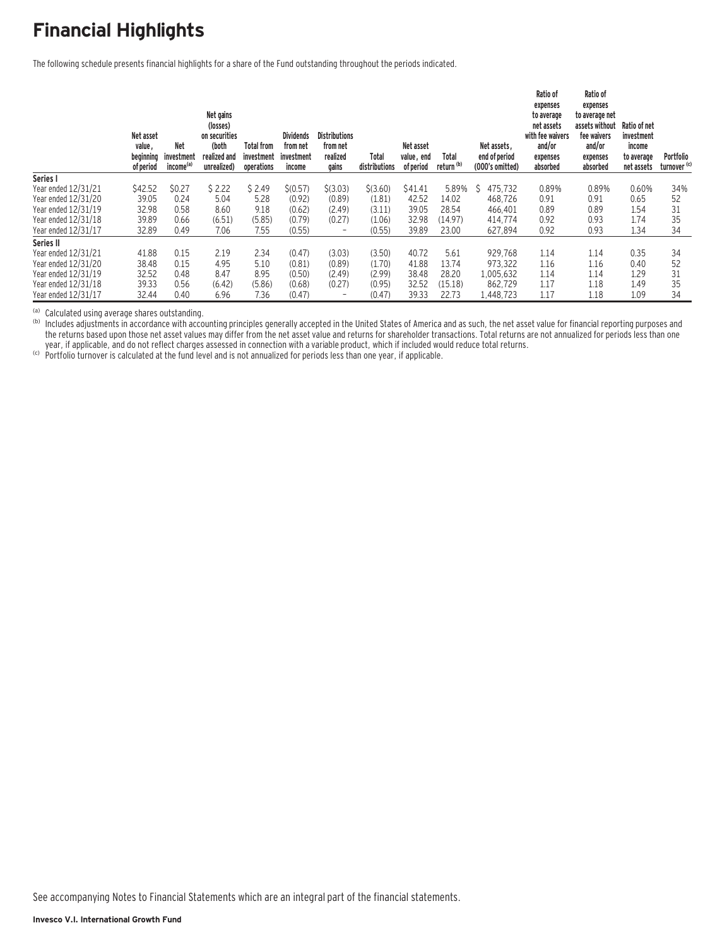# **Financial Highlights**

The following schedule presents financial highlights for a share of the Fund outstanding throughout the periods indicated.

|                     | Net asset<br>value,<br>beginning<br>of period | <b>Net</b><br>investment<br>income <sup>(a)</sup> | Net gains<br>(losses)<br>on securities<br>(both<br>realized and<br>unrealized) | <b>Total from</b><br>investment<br>operations | <b>Dividends</b><br>from net<br>investment<br>income | <b>Distributions</b><br>from net<br>realized<br>gains | Total<br>distributions | Net asset<br>value, end<br>of period | Total<br>return <sup>(b)</sup> | Net assets.<br>end of period<br>(000's omitted) | Ratio of<br>expenses<br>to average<br>net assets<br>with fee waivers<br>and/or<br>expenses<br>absorbed | Ratio of<br>expenses<br>to average net<br>assets without<br>fee waivers<br>and/or<br>expenses<br>absorbed | Ratio of net<br>investment<br>income<br>to average<br>net assets | Portfolio<br>turnover <sup>(c)</sup> |
|---------------------|-----------------------------------------------|---------------------------------------------------|--------------------------------------------------------------------------------|-----------------------------------------------|------------------------------------------------------|-------------------------------------------------------|------------------------|--------------------------------------|--------------------------------|-------------------------------------------------|--------------------------------------------------------------------------------------------------------|-----------------------------------------------------------------------------------------------------------|------------------------------------------------------------------|--------------------------------------|
| Series I            |                                               |                                                   |                                                                                |                                               |                                                      |                                                       |                        |                                      |                                |                                                 |                                                                                                        |                                                                                                           |                                                                  |                                      |
| Year ended 12/31/21 | \$42.52                                       | \$0.27                                            | \$2.22                                                                         | \$2.49                                        | \$(0.57)                                             | \$(3.03)                                              | \$(3.60)               | \$41.41                              | 5.89%                          | 475.732<br>Ŝ                                    | 0.89%                                                                                                  | 0.89%                                                                                                     | 0.60%                                                            | 34%                                  |
| Year ended 12/31/20 | 39.05                                         | 0.24                                              | 5.04                                                                           | 5.28                                          | (0.92)                                               | (0.89)                                                | (1.81)                 | 42.52                                | 14.02                          | 468.726                                         | 0.91                                                                                                   | 0.91                                                                                                      | 0.65                                                             | 52                                   |
| Year ended 12/31/19 | 32.98                                         | 0.58                                              | 8.60                                                                           | 9.18                                          | (0.62)                                               | (2.49)                                                | (3.11)                 | 39.05                                | 28.54                          | 466.401                                         | 0.89                                                                                                   | 0.89                                                                                                      | 1.54                                                             | 31                                   |
| Year ended 12/31/18 | 39.89                                         | 0.66                                              | (6.51)                                                                         | (5.85)                                        | (0.79)                                               | (0.27)                                                | (1.06)                 | 32.98                                | (14.97)                        | 414.774                                         | 0.92                                                                                                   | 0.93                                                                                                      | 1.74                                                             | 35                                   |
| Year ended 12/31/17 | 32.89                                         | 0.49                                              | 7.06                                                                           | 7.55                                          | (0.55)                                               | $\qquad \qquad$                                       | (0.55)                 | 39.89                                | 23.00                          | 627.894                                         | 0.92                                                                                                   | 0.93                                                                                                      | 1.34                                                             | 34                                   |
| Series II           |                                               |                                                   |                                                                                |                                               |                                                      |                                                       |                        |                                      |                                |                                                 |                                                                                                        |                                                                                                           |                                                                  |                                      |
| Year ended 12/31/21 | 41.88                                         | 0.15                                              | 2.19                                                                           | 2.34                                          | (0.47)                                               | (3.03)                                                | (3.50)                 | 40.72                                | 5.61                           | 929.768                                         | 1.14                                                                                                   | 1.14                                                                                                      | 0.35                                                             | 34                                   |
| Year ended 12/31/20 | 38.48                                         | 0.15                                              | 4.95                                                                           | 5.10                                          | (0.81)                                               | (0.89)                                                | (1.70)                 | 41.88                                | 13.74                          | 973.322                                         | 1.16                                                                                                   | 1.16                                                                                                      | 0.40                                                             | 52                                   |
| Year ended 12/31/19 | 32.52                                         | 0.48                                              | 8.47                                                                           | 8.95                                          | (0.50)                                               | (2.49)                                                | (2.99)                 | 38.48                                | 28.20                          | 1.005.632                                       | 1.14                                                                                                   | 1.14                                                                                                      | 1.29                                                             | 31                                   |
| Year ended 12/31/18 | 39.33                                         | 0.56                                              | (6.42)                                                                         | (5.86)                                        | (0.68)                                               | (0.27)                                                | (0.95)                 | 32.52                                | (15.18)                        | 862,729                                         | 1.17                                                                                                   | 1.18                                                                                                      | 1.49                                                             | 35                                   |
| Year ended 12/31/17 | 32.44                                         | 0.40                                              | 6.96                                                                           | 7.36                                          | (0.47)                                               |                                                       | (0.47)                 | 39.33                                | 22.73                          | 1,448,723                                       | 1.17                                                                                                   | 1.18                                                                                                      | 1.09                                                             | 34                                   |

(a) Calculated using average shares outstanding.<br>(b) Includes adjustments in accordance with accounting principles generally accepted in the United States of America and as such, the net asset value for financial reporting the returns based upon those net asset values may differ from the net asset value and returns for shareholder transactions. Total returns are not annualized for periods less than one year, if applicable, and do not reflect charges assessed in connection with a variable product, which if included would reduce total returns.<br>(c) Portfolio turnover is calculated at the fund level and is not annualized for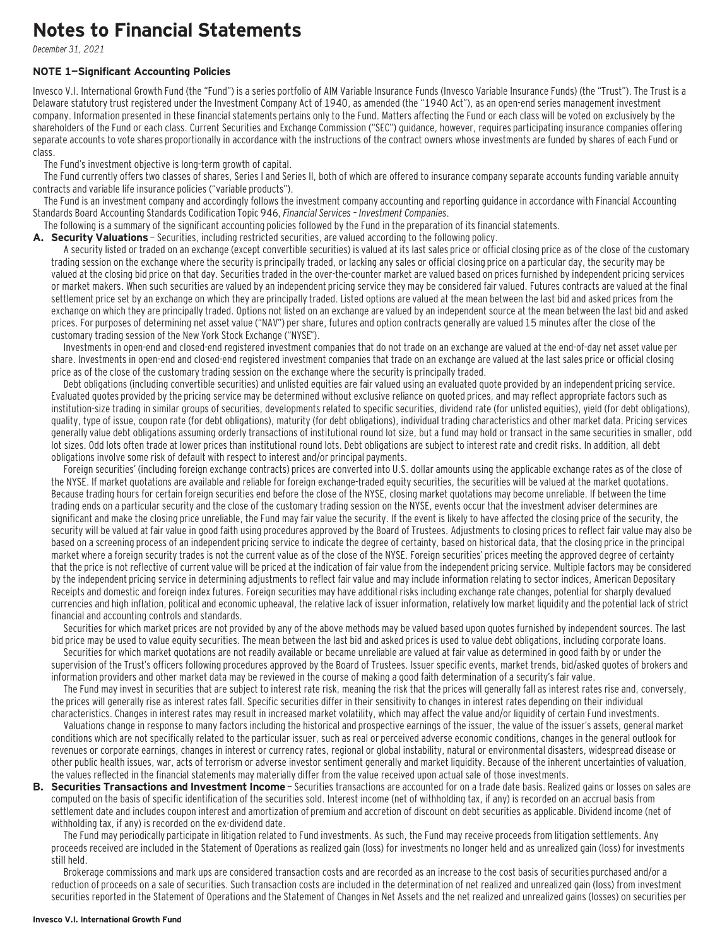### **Notes to Financial Statements**

December 31, 2021

#### **NOTE 1—Significant Accounting Policies**

Invesco V.I. International Growth Fund (the "Fund") is a series portfolio of AIM Variable Insurance Funds (Invesco Variable Insurance Funds) (the "Trust"). The Trust is a Delaware statutory trust registered under the Investment Company Act of 1940, as amended (the "1940 Act"), as an open-end series management investment company. Information presented in these financial statements pertains only to the Fund. Matters affecting the Fund or each class will be voted on exclusively by the shareholders of the Fund or each class. Current Securities and Exchange Commission ("SEC") guidance, however, requires participating insurance companies offering separate accounts to vote shares proportionally in accordance with the instructions of the contract owners whose investments are funded by shares of each Fund or class.

The Fund's investment objective is long-term growth of capital.

The Fund currently offers two classes of shares, Series I and Series II, both of which are offered to insurance company separate accounts funding variable annuity contracts and variable life insurance policies ("variable products").

The Fund is an investment company and accordingly follows the investment company accounting and reporting guidance in accordance with Financial Accounting Standards Board Accounting Standards Codification Topic 946, Financial Services – Investment Companies.

The following is a summary of the significant accounting policies followed by the Fund in the preparation of its financial statements.

A. Security Valuations - Securities, including restricted securities, are valued according to the following policy.

A security listed or traded on an exchange (except convertible securities) is valued at its last sales price or official closing price as of the close of the customary trading session on the exchange where the security is principally traded, or lacking any sales or official closing price on a particular day, the security may be valued at the closing bid price on that day. Securities traded in the over-the-counter market are valued based on prices furnished by independent pricing services or market makers. When such securities are valued by an independent pricing service they may be considered fair valued. Futures contracts are valued at the final settlement price set by an exchange on which they are principally traded. Listed options are valued at the mean between the last bid and asked prices from the exchange on which they are principally traded. Options not listed on an exchange are valued by an independent source at the mean between the last bid and asked prices. For purposes of determining net asset value ("NAV") per share, futures and option contracts generally are valued 15 minutes after the close of the customary trading session of the New York Stock Exchange ("NYSE").

Investments in open-end and closed-end registered investment companies that do not trade on an exchange are valued at the end-of-day net asset value per share. Investments in open-end and closed-end registered investment companies that trade on an exchange are valued at the last sales price or official closing price as of the close of the customary trading session on the exchange where the security is principally traded.

Debt obligations (including convertible securities) and unlisted equities are fair valued using an evaluated quote provided by an independent pricing service. Evaluated quotes provided by the pricing service may be determined without exclusive reliance on quoted prices, and may reflect appropriate factors such as institution-size trading in similar groups of securities, developments related to specific securities, dividend rate (for unlisted equities), yield (for debt obligations), quality, type of issue, coupon rate (for debt obligations), maturity (for debt obligations), individual trading characteristics and other market data. Pricing services generally value debt obligations assuming orderly transactions of institutional round lot size, but a fund may hold or transact in the same securities in smaller, odd lot sizes. Odd lots often trade at lower prices than institutional round lots. Debt obligations are subject to interest rate and credit risks. In addition, all debt obligations involve some risk of default with respect to interest and/or principal payments.

Foreign securities' (including foreign exchange contracts) prices are converted into U.S. dollar amounts using the applicable exchange rates as of the close of the NYSE. If market quotations are available and reliable for foreign exchange-traded equity securities, the securities will be valued at the market quotations. Because trading hours for certain foreign securities end before the close of the NYSE, closing market quotations may become unreliable. If between the time trading ends on a particular security and the close of the customary trading session on the NYSE, events occur that the investment adviser determines are significant and make the closing price unreliable, the Fund may fair value the security. If the event is likely to have affected the closing price of the security, the security will be valued at fair value in good faith using procedures approved by the Board of Trustees. Adjustments to closing prices to reflect fair value may also be based on a screening process of an independent pricing service to indicate the degree of certainty, based on historical data, that the closing price in the principal market where a foreign security trades is not the current value as of the close of the NYSE. Foreign securities' prices meeting the approved degree of certainty that the price is not reflective of current value will be priced at the indication of fair value from the independent pricing service. Multiple factors may be considered by the independent pricing service in determining adjustments to reflect fair value and may include information relating to sector indices, American Depositary Receipts and domestic and foreign index futures. Foreign securities may have additional risks including exchange rate changes, potential for sharply devalued currencies and high inflation, political and economic upheaval, the relative lack of issuer information, relatively low market liquidity and the potential lack of strict financial and accounting controls and standards.

Securities for which market prices are not provided by any of the above methods may be valued based upon quotes furnished by independent sources. The last bid price may be used to value equity securities. The mean between the last bid and asked prices is used to value debt obligations, including corporate loans.

Securities for which market quotations are not readily available or became unreliable are valued at fair value as determined in good faith by or under the supervision of the Trust's officers following procedures approved by the Board of Trustees. Issuer specific events, market trends, bid/asked quotes of brokers and information providers and other market data may be reviewed in the course of making a good faith determination of a security's fair value.

The Fund may invest in securities that are subject to interest rate risk, meaning the risk that the prices will generally fall as interest rates rise and, conversely, the prices will generally rise as interest rates fall. Specific securities differ in their sensitivity to changes in interest rates depending on their individual characteristics. Changes in interest rates may result in increased market volatility, which may affect the value and/or liquidity of certain Fund investments.

Valuations change in response to many factors including the historical and prospective earnings of the issuer, the value of the issuer's assets, general market conditions which are not specifically related to the particular issuer, such as real or perceived adverse economic conditions, changes in the general outlook for revenues or corporate earnings, changes in interest or currency rates, regional or global instability, natural or environmental disasters, widespread disease or other public health issues, war, acts of terrorism or adverse investor sentiment generally and market liquidity. Because of the inherent uncertainties of valuation, the values reflected in the financial statements may materially differ from the value received upon actual sale of those investments.

**B. Securities Transactions and Investment Income** - Securities transactions are accounted for on a trade date basis. Realized gains or losses on sales are computed on the basis of specific identification of the securities sold. Interest income (net of withholding tax, if any) is recorded on an accrual basis from settlement date and includes coupon interest and amortization of premium and accretion of discount on debt securities as applicable. Dividend income (net of withholding tax, if any) is recorded on the ex-dividend date.

The Fund may periodically participate in litigation related to Fund investments. As such, the Fund may receive proceeds from litigation settlements. Any proceeds received are included in the Statement of Operations as realized gain (loss) for investments no longer held and as unrealized gain (loss) for investments still held.

Brokerage commissions and mark ups are considered transaction costs and are recorded as an increase to the cost basis of securities purchased and/or a reduction of proceeds on a sale of securities. Such transaction costs are included in the determination of net realized and unrealized gain (loss) from investment securities reported in the Statement of Operations and the Statement of Changes in Net Assets and the net realized and unrealized gains (losses) on securities per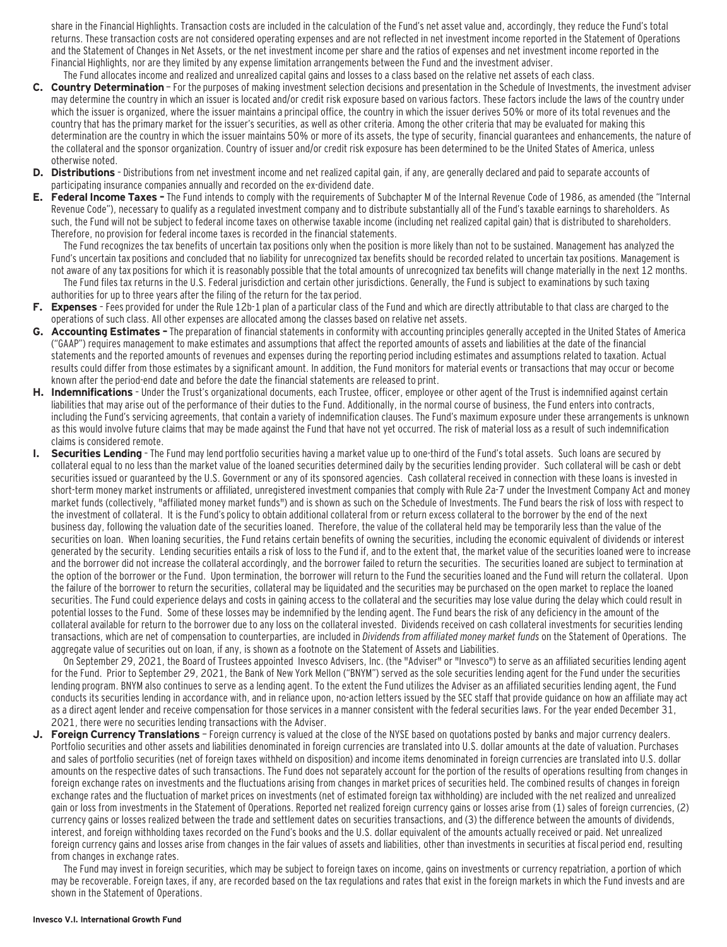share in the Financial Highlights. Transaction costs are included in the calculation of the Fund's net asset value and, accordingly, they reduce the Fund's total returns. These transaction costs are not considered operating expenses and are not reflected in net investment income reported in the Statement of Operations and the Statement of Changes in Net Assets, or the net investment income per share and the ratios of expenses and net investment income reported in the Financial Highlights, nor are they limited by any expense limitation arrangements between the Fund and the investment adviser.

- The Fund allocates income and realized and unrealized capital gains and losses to a class based on the relative net assets of each class. **C. Country Determination** — For the purposes of making investment selection decisions and presentation in the Schedule of Investments, the investment adviser may determine the country in which an issuer is located and/or credit risk exposure based on various factors. These factors include the laws of the country under which the issuer is organized, where the issuer maintains a principal office, the country in which the issuer derives 50% or more of its total revenues and the country that has the primary market for the issuer's securities, as well as other criteria. Among the other criteria that may be evaluated for making this determination are the country in which the issuer maintains 50% or more of its assets, the type of security, financial guarantees and enhancements, the nature of the collateral and the sponsor organization. Country of issuer and/or credit risk exposure has been determined to be the United States of America, unless otherwise noted.
- **D. Distributions**  Distributions from net investment income and net realized capital gain, if any, are generally declared and paid to separate accounts of participating insurance companies annually and recorded on the ex-dividend date.
- **E. Federal Income Taxes** The Fund intends to comply with the requirements of Subchapter M of the Internal Revenue Code of 1986, as amended (the "Internal Revenue Code"), necessary to qualify as a regulated investment company and to distribute substantially all of the Fund's taxable earnings to shareholders. As such, the Fund will not be subject to federal income taxes on otherwise taxable income (including net realized capital gain) that is distributed to shareholders. Therefore, no provision for federal income taxes is recorded in the financial statements.

The Fund recognizes the tax benefits of uncertain tax positions only when the position is more likely than not to be sustained. Management has analyzed the Fund's uncertain tax positions and concluded that no liability for unrecognized tax benefits should be recorded related to uncertain tax positions. Management is not aware of any tax positions for which it is reasonably possible that the total amounts of unrecognized tax benefits will change materially in the next 12 months. The Fund files tax returns in the U.S. Federal jurisdiction and certain other jurisdictions. Generally, the Fund is subject to examinations by such taxing authorities for up to three years after the filing of the return for the tax period.

- **F. Expenses**  Fees provided for under the Rule 12b-1 plan of a particular class of the Fund and which are directly attributable to that class are charged to the operations of such class. All other expenses are allocated among the classes based on relative net assets.
- **G. Accounting Estimates** The preparation of financial statements in conformity with accounting principles generally accepted in the United States of America ("GAAP") requires management to make estimates and assumptions that affect the reported amounts of assets and liabilities at the date of the financial statements and the reported amounts of revenues and expenses during the reporting period including estimates and assumptions related to taxation. Actual results could differ from those estimates by a significant amount. In addition, the Fund monitors for material events or transactions that may occur or become known after the period-end date and before the date the financial statements are released to print.
- **H. Indemnifications**  Under the Trust's organizational documents, each Trustee, officer, employee or other agent of the Trust is indemnified against certain liabilities that may arise out of the performance of their duties to the Fund. Additionally, in the normal course of business, the Fund enters into contracts, including the Fund's servicing agreements, that contain a variety of indemnification clauses. The Fund's maximum exposure under these arrangements is unknown as this would involve future claims that may be made against the Fund that have not yet occurred. The risk of material loss as a result of such indemnification claims is considered remote.
- **I. Securities Lending**  The Fund may lend portfolio securities having a market value up to one-third of the Fund's total assets. Such loans are secured by collateral equal to no less than the market value of the loaned securities determined daily by the securities lending provider. Such collateral will be cash or debt securities issued or guaranteed by the U.S. Government or any of its sponsored agencies. Cash collateral received in connection with these loans is invested in short-term money market instruments or affiliated, unregistered investment companies that comply with Rule 2a-7 under the Investment Company Act and money market funds (collectively, "affiliated money market funds") and is shown as such on the Schedule of Investments. The Fund bears the risk of loss with respect to the investment of collateral. It is the Fund's policy to obtain additional collateral from or return excess collateral to the borrower by the end of the next business day, following the valuation date of the securities loaned. Therefore, the value of the collateral held may be temporarily less than the value of the securities on loan. When loaning securities, the Fund retains certain benefits of owning the securities, including the economic equivalent of dividends or interest generated by the security. Lending securities entails a risk of loss to the Fund if, and to the extent that, the market value of the securities loaned were to increase and the borrower did not increase the collateral accordingly, and the borrower failed to return the securities. The securities loaned are subject to termination at the option of the borrower or the Fund. Upon termination, the borrower will return to the Fund the securities loaned and the Fund will return the collateral. Upon the failure of the borrower to return the securities, collateral may be liquidated and the securities may be purchased on the open market to replace the loaned securities. The Fund could experience delays and costs in gaining access to the collateral and the securities may lose value during the delay which could result in potential losses to the Fund. Some of these losses may be indemnified by the lending agent. The Fund bears the risk of any deficiency in the amount of the collateral available for return to the borrower due to any loss on the collateral invested. Dividends received on cash collateral investments for securities lending transactions, which are net of compensation to counterparties, are included in Dividends from affiliated money market funds on the Statement of Operations. The aggregate value of securities out on loan, if any, is shown as a footnote on the Statement of Assets and Liabilities.

On September 29, 2021, the Board of Trustees appointed Invesco Advisers, Inc. (the "Adviser" or "Invesco") to serve as an affiliated securities lending agent for the Fund. Prior to September 29, 2021, the Bank of New York Mellon ("BNYM") served as the sole securities lending agent for the Fund under the securities lending program. BNYM also continues to serve as a lending agent. To the extent the Fund utilizes the Adviser as an affiliated securities lending agent, the Fund conducts its securities lending in accordance with, and in reliance upon, no-action letters issued by the SEC staff that provide guidance on how an affiliate may act as a direct agent lender and receive compensation for those services in a manner consistent with the federal securities laws. For the year ended December 31, 2021, there were no securities lending transactions with the Adviser.

**J. Foreign Currency Translations** — Foreign currency is valued at the close of the NYSE based on quotations posted by banks and major currency dealers. Portfolio securities and other assets and liabilities denominated in foreign currencies are translated into U.S. dollar amounts at the date of valuation. Purchases and sales of portfolio securities (net of foreign taxes withheld on disposition) and income items denominated in foreign currencies are translated into U.S. dollar amounts on the respective dates of such transactions. The Fund does not separately account for the portion of the results of operations resulting from changes in foreign exchange rates on investments and the fluctuations arising from changes in market prices of securities held. The combined results of changes in foreign exchange rates and the fluctuation of market prices on investments (net of estimated foreign tax withholding) are included with the net realized and unrealized gain or loss from investments in the Statement of Operations. Reported net realized foreign currency gains or losses arise from (1) sales of foreign currencies, (2) currency gains or losses realized between the trade and settlement dates on securities transactions, and (3) the difference between the amounts of dividends, interest, and foreign withholding taxes recorded on the Fund's books and the U.S. dollar equivalent of the amounts actually received or paid. Net unrealized foreign currency gains and losses arise from changes in the fair values of assets and liabilities, other than investments in securities at fiscal period end, resulting from changes in exchange rates.

The Fund may invest in foreign securities, which may be subject to foreign taxes on income, gains on investments or currency repatriation, a portion of which may be recoverable. Foreign taxes, if any, are recorded based on the tax regulations and rates that exist in the foreign markets in which the Fund invests and are shown in the Statement of Operations.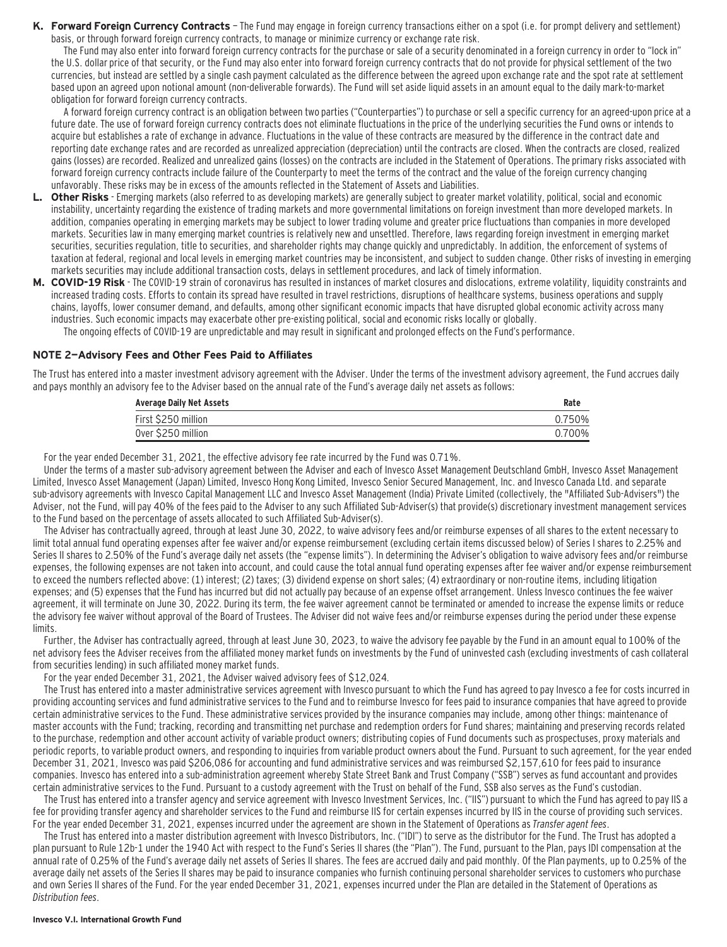**K. Forward Foreign Currency Contracts** — The Fund may engage in foreign currency transactions either on a spot (i.e. for prompt delivery and settlement) basis, or through forward foreign currency contracts, to manage or minimize currency or exchange rate risk.

The Fund may also enter into forward foreign currency contracts for the purchase or sale of a security denominated in a foreign currency in order to "lock in" the U.S. dollar price of that security, or the Fund may also enter into forward foreign currency contracts that do not provide for physical settlement of the two currencies, but instead are settled by a single cash payment calculated as the difference between the agreed upon exchange rate and the spot rate at settlement based upon an agreed upon notional amount (non-deliverable forwards). The Fund will set aside liquid assets in an amount equal to the daily mark-to-market obligation for forward foreign currency contracts.

A forward foreign currency contract is an obligation between two parties ("Counterparties") to purchase or sell a specific currency for an agreed-upon price at a future date. The use of forward foreign currency contracts does not eliminate fluctuations in the price of the underlying securities the Fund owns or intends to acquire but establishes a rate of exchange in advance. Fluctuations in the value of these contracts are measured by the difference in the contract date and reporting date exchange rates and are recorded as unrealized appreciation (depreciation) until the contracts are closed. When the contracts are closed, realized gains (losses) are recorded. Realized and unrealized gains (losses) on the contracts are included in the Statement of Operations. The primary risks associated with forward foreign currency contracts include failure of the Counterparty to meet the terms of the contract and the value of the foreign currency changing unfavorably. These risks may be in excess of the amounts reflected in the Statement of Assets and Liabilities.

- **L. Other Risks**  Emerging markets (also referred to as developing markets) are generally subject to greater market volatility, political, social and economic instability, uncertainty regarding the existence of trading markets and more governmental limitations on foreign investment than more developed markets. In addition, companies operating in emerging markets may be subject to lower trading volume and greater price fluctuations than companies in more developed markets. Securities law in many emerging market countries is relatively new and unsettled. Therefore, laws regarding foreign investment in emerging market securities, securities regulation, title to securities, and shareholder rights may change quickly and unpredictably. In addition, the enforcement of systems of taxation at federal, regional and local levels in emerging market countries may be inconsistent, and subject to sudden change. Other risks of investing in emerging markets securities may include additional transaction costs, delays in settlement procedures, and lack of timely information.
- **M. COVID-19 Risk**  The COVID-19 strain of coronavirus has resulted in instances of market closures and dislocations, extreme volatility, liquidity constraints and increased trading costs. Efforts to contain its spread have resulted in travel restrictions, disruptions of healthcare systems, business operations and supply chains, layoffs, lower consumer demand, and defaults, among other significant economic impacts that have disrupted global economic activity across many industries. Such economic impacts may exacerbate other pre-existing political, social and economic risks locally or globally.

The ongoing effects of COVID-19 are unpredictable and may result in significant and prolonged effects on the Fund's performance.

#### **NOTE 2—Advisory Fees and Other Fees Paid to Affiliates**

The Trust has entered into a master investment advisory agreement with the Adviser. Under the terms of the investment advisory agreement, the Fund accrues daily and pays monthly an advisory fee to the Adviser based on the annual rate of the Fund's average daily net assets as follows:

| Average Daily Net Assets | Rate   |
|--------------------------|--------|
| First \$250 million      | 0.750% |
| Over \$250 million       | 0.700% |

For the year ended December 31, 2021, the effective advisory fee rate incurred by the Fund was 0.71%.

Under the terms of a master sub-advisory agreement between the Adviser and each of Invesco Asset Management Deutschland GmbH, Invesco Asset Management Limited, Invesco Asset Management (Japan) Limited, Invesco Hong Kong Limited, Invesco Senior Secured Management, Inc. and Invesco Canada Ltd. and separate sub-advisory agreements with Invesco Capital Management LLC and Invesco Asset Management (India) Private Limited (collectively, the "Affiliated Sub-Advisers") the Adviser, not the Fund, will pay 40% of the fees paid to the Adviser to any such Affiliated Sub-Adviser(s) that provide(s) discretionary investment management services to the Fund based on the percentage of assets allocated to such Affiliated Sub-Adviser(s).

The Adviser has contractually agreed, through at least June 30, 2022, to waive advisory fees and/or reimburse expenses of all shares to the extent necessary to limit total annual fund operating expenses after fee waiver and/or expense reimbursement (excluding certain items discussed below) of Series I shares to 2.25% and Series II shares to 2.50% of the Fund's average daily net assets (the "expense limits"). In determining the Adviser's obligation to waive advisory fees and/or reimburse expenses, the following expenses are not taken into account, and could cause the total annual fund operating expenses after fee waiver and/or expense reimbursement to exceed the numbers reflected above: (1) interest; (2) taxes; (3) dividend expense on short sales; (4) extraordinary or non-routine items, including litigation expenses; and (5) expenses that the Fund has incurred but did not actually pay because of an expense offset arrangement. Unless Invesco continues the fee waiver agreement, it will terminate on June 30, 2022. During its term, the fee waiver agreement cannot be terminated or amended to increase the expense limits or reduce the advisory fee waiver without approval of the Board of Trustees. The Adviser did not waive fees and/or reimburse expenses during the period under these expense limits.

Further, the Adviser has contractually agreed, through at least June 30, 2023, to waive the advisory fee payable by the Fund in an amount equal to 100% of the net advisory fees the Adviser receives from the affiliated money market funds on investments by the Fund of uninvested cash (excluding investments of cash collateral from securities lending) in such affiliated money market funds.

For the year ended December 31, 2021, the Adviser waived advisory fees of \$12,024.

The Trust has entered into a master administrative services agreement with Invesco pursuant to which the Fund has agreed to pay Invesco a fee for costs incurred in providing accounting services and fund administrative services to the Fund and to reimburse Invesco for fees paid to insurance companies that have agreed to provide certain administrative services to the Fund. These administrative services provided by the insurance companies may include, among other things: maintenance of master accounts with the Fund; tracking, recording and transmitting net purchase and redemption orders for Fund shares; maintaining and preserving records related to the purchase, redemption and other account activity of variable product owners; distributing copies of Fund documents such as prospectuses, proxy materials and periodic reports, to variable product owners, and responding to inquiries from variable product owners about the Fund. Pursuant to such agreement, for the year ended December 31, 2021, Invesco was paid \$206,086 for accounting and fund administrative services and was reimbursed \$2,157,610 for fees paid to insurance companies. Invesco has entered into a sub-administration agreement whereby State Street Bank and Trust Company ("SSB") serves as fund accountant and provides certain administrative services to the Fund. Pursuant to a custody agreement with the Trust on behalf of the Fund, SSB also serves as the Fund's custodian.

The Trust has entered into a transfer agency and service agreement with Invesco Investment Services, Inc. ("IIS") pursuant to which the Fund has agreed to pay IIS a fee for providing transfer agency and shareholder services to the Fund and reimburse IIS for certain expenses incurred by IIS in the course of providing such services. For the year ended December 31, 2021, expenses incurred under the agreement are shown in the Statement of Operations as Transfer agent fees.

The Trust has entered into a master distribution agreement with Invesco Distributors, Inc. ("IDI") to serve as the distributor for the Fund. The Trust has adopted a plan pursuant to Rule 12b-1 under the 1940 Act with respect to the Fund's Series II shares (the "Plan"). The Fund, pursuant to the Plan, pays IDI compensation at the annual rate of 0.25% of the Fund's average daily net assets of Series II shares. The fees are accrued daily and paid monthly. Of the Plan payments, up to 0.25% of the average daily net assets of the Series II shares may be paid to insurance companies who furnish continuing personal shareholder services to customers who purchase and own Series II shares of the Fund. For the year ended December 31, 2021, expenses incurred under the Plan are detailed in the Statement of Operations as Distribution fees.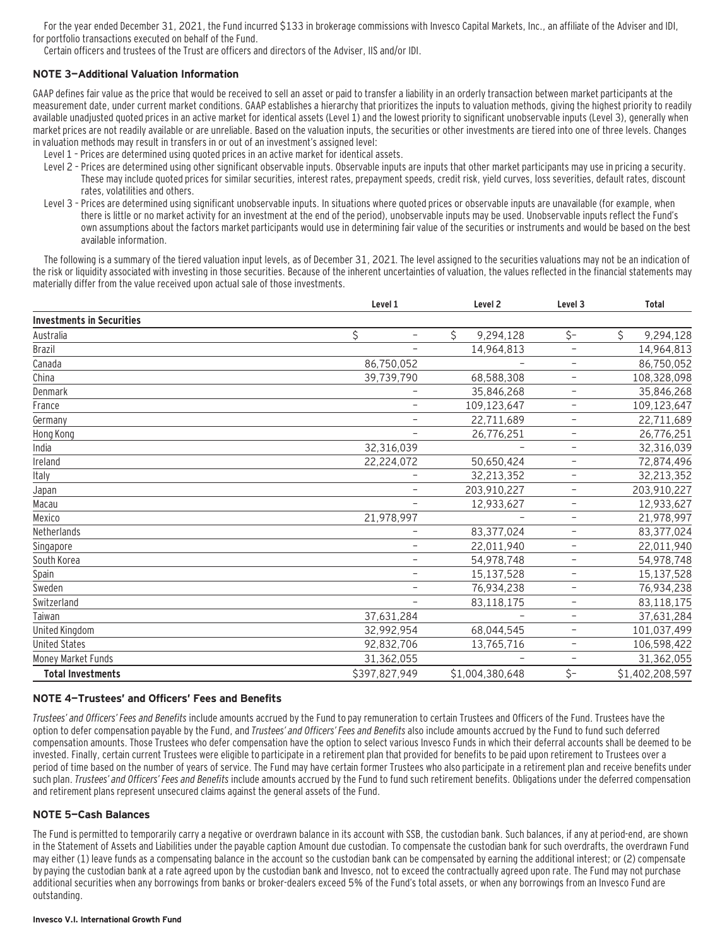For the year ended December 31, 2021, the Fund incurred \$133 in brokerage commissions with Invesco Capital Markets, Inc., an affiliate of the Adviser and IDI, for portfolio transactions executed on behalf of the Fund.

Certain officers and trustees of the Trust are officers and directors of the Adviser, IIS and/or IDI.

#### **NOTE 3—Additional Valuation Information**

GAAP defines fair value as the price that would be received to sell an asset or paid to transfer a liability in an orderly transaction between market participants at the measurement date, under current market conditions. GAAP establishes a hierarchy that prioritizes the inputs to valuation methods, giving the highest priority to readily available unadjusted quoted prices in an active market for identical assets (Level 1) and the lowest priority to significant unobservable inputs (Level 3), generally when market prices are not readily available or are unreliable. Based on the valuation inputs, the securities or other investments are tiered into one of three levels. Changes in valuation methods may result in transfers in or out of an investment's assigned level:

- Level 1 Prices are determined using quoted prices in an active market for identical assets.
- Level 2 Prices are determined using other significant observable inputs. Observable inputs are inputs that other market participants may use in pricing a security. These may include quoted prices for similar securities, interest rates, prepayment speeds, credit risk, yield curves, loss severities, default rates, discount rates, volatilities and others.
- Level 3 Prices are determined using significant unobservable inputs. In situations where quoted prices or observable inputs are unavailable (for example, when there is little or no market activity for an investment at the end of the period), unobservable inputs may be used. Unobservable inputs reflect the Fund's own assumptions about the factors market participants would use in determining fair value of the securities or instruments and would be based on the best available information.

The following is a summary of the tiered valuation input levels, as of December 31, 2021. The level assigned to the securities valuations may not be an indication of the risk or liquidity associated with investing in those securities. Because of the inherent uncertainties of valuation, the values reflected in the financial statements may materially differ from the value received upon actual sale of those investments.

|                                  | Level 1                        | Level <sub>2</sub> | Level <sub>3</sub>       | <b>Total</b>    |
|----------------------------------|--------------------------------|--------------------|--------------------------|-----------------|
| <b>Investments in Securities</b> |                                |                    |                          |                 |
| Australia                        | \$<br>$\overline{\phantom{0}}$ | \$<br>9,294,128    | \$-                      | \$<br>9,294,128 |
| Brazil                           |                                | 14,964,813         | $\overline{\phantom{0}}$ | 14,964,813      |
| Canada                           | 86,750,052                     |                    | $\overline{\phantom{m}}$ | 86,750,052      |
| China                            | 39,739,790                     | 68,588,308         | $\overline{\phantom{m}}$ | 108,328,098     |
| Denmark                          | $\overline{\phantom{0}}$       | 35,846,268         | $\overline{\phantom{0}}$ | 35,846,268      |
| France                           | $\overline{\phantom{0}}$       | 109,123,647        | $\overline{\phantom{0}}$ | 109,123,647     |
| Germany                          | -                              | 22,711,689         | $\overline{\phantom{m}}$ | 22,711,689      |
| Hong Kong                        |                                | 26,776,251         | $\overline{\phantom{m}}$ | 26,776,251      |
| India                            | 32,316,039                     |                    | -                        | 32,316,039      |
| Ireland                          | 22,224,072                     | 50,650,424         | $\overline{\phantom{0}}$ | 72,874,496      |
| Italy                            |                                | 32,213,352         | $\overline{\phantom{m}}$ | 32,213,352      |
| Japan                            | -                              | 203,910,227        | $\overline{\phantom{m}}$ | 203,910,227     |
| Macau                            |                                | 12,933,627         | $\overline{\phantom{0}}$ | 12,933,627      |
| Mexico                           | 21,978,997                     |                    | $\overline{\phantom{0}}$ | 21,978,997      |
| Netherlands                      |                                | 83,377,024         | $\overline{\phantom{m}}$ | 83,377,024      |
| Singapore                        | -                              | 22,011,940         | $\overline{\phantom{m}}$ | 22,011,940      |
| South Korea                      |                                | 54,978,748         | -                        | 54,978,748      |
| Spain                            | $\overline{\phantom{0}}$       | 15,137,528         | $\overline{\phantom{0}}$ | 15,137,528      |
| Sweden                           | $\overline{\phantom{0}}$       | 76,934,238         | $\overline{\phantom{m}}$ | 76,934,238      |
| Switzerland                      | -                              | 83,118,175         | $\overline{\phantom{a}}$ | 83,118,175      |
| Taiwan                           | 37,631,284                     |                    | -                        | 37,631,284      |
| United Kingdom                   | 32,992,954                     | 68,044,545         | $\overline{\phantom{0}}$ | 101,037,499     |
| <b>United States</b>             | 92,832,706                     | 13,765,716         | $\overline{\phantom{0}}$ | 106,598,422     |
| Money Market Funds               | 31,362,055                     |                    | $\overline{\phantom{m}}$ | 31,362,055      |
| <b>Total Investments</b>         | \$397,827,949                  | \$1,004,380,648    | \$-                      | \$1,402,208,597 |

#### **NOTE 4—Trustees' and Officers' Fees and Benefits**

Trustees' and Officers' Fees and Benefits include amounts accrued by the Fund to pay remuneration to certain Trustees and Officers of the Fund. Trustees have the option to defer compensation payable by the Fund, and Trustees' and Officers' Fees and Benefits also include amounts accrued by the Fund to fund such deferred compensation amounts. Those Trustees who defer compensation have the option to select various Invesco Funds in which their deferral accounts shall be deemed to be invested. Finally, certain current Trustees were eligible to participate in a retirement plan that provided for benefits to be paid upon retirement to Trustees over a period of time based on the number of years of service. The Fund may have certain former Trustees who also participate in a retirement plan and receive benefits under such plan. Trustees' and Officers' Fees and Benefits include amounts accrued by the Fund to fund such retirement benefits. Obligations under the deferred compensation and retirement plans represent unsecured claims against the general assets of the Fund.

#### **NOTE 5—Cash Balances**

The Fund is permitted to temporarily carry a negative or overdrawn balance in its account with SSB, the custodian bank. Such balances, if any at period-end, are shown in the Statement of Assets and Liabilities under the payable caption Amount due custodian. To compensate the custodian bank for such overdrafts, the overdrawn Fund may either (1) leave funds as a compensating balance in the account so the custodian bank can be compensated by earning the additional interest; or (2) compensate by paying the custodian bank at a rate agreed upon by the custodian bank and Invesco, not to exceed the contractually agreed upon rate. The Fund may not purchase additional securities when any borrowings from banks or broker-dealers exceed 5% of the Fund's total assets, or when any borrowings from an Invesco Fund are outstanding.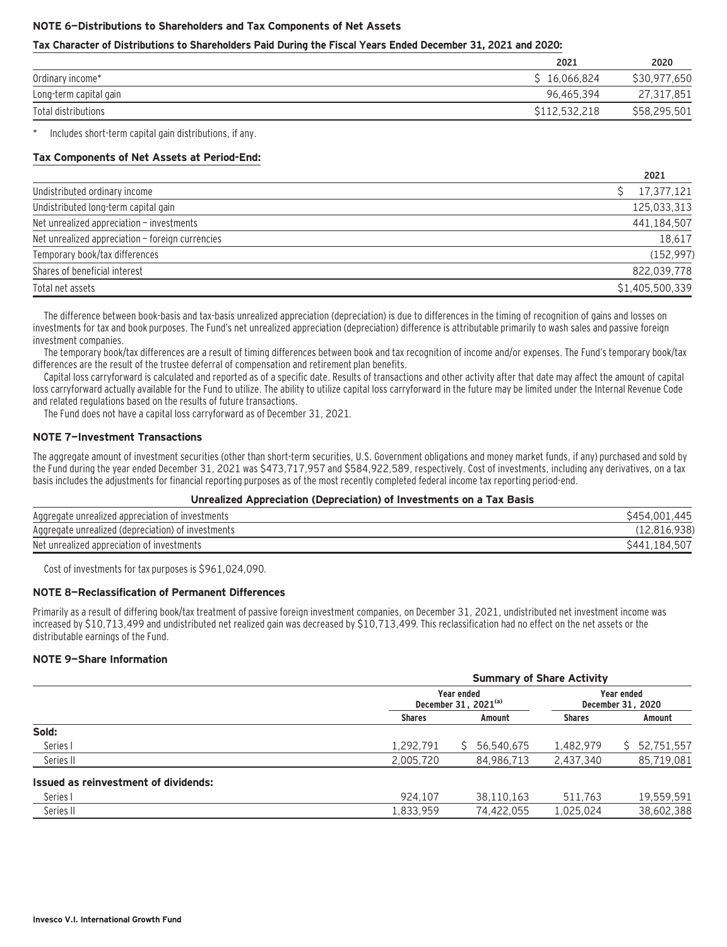#### **NOTE 6—Distributions to Shareholders and Tax Components of Net Assets**

#### **Tax Character of Distributions to Shareholders Paid During the Fiscal Years Ended December 31, 2021 and 2020:**

|                        | 2021              | 2020         |
|------------------------|-------------------|--------------|
| Ordinary income*       | \$16.066.824      | \$30.977.650 |
| Long-term capital gain | 96.465.394        | 27,317,851   |
| Total distributions    | \$112.532.<br>218 | \$58,295,501 |

Includes short-term capital gain distributions, if any.

#### **Tax Components of Net Assets at Period-End:**

|                                                  | 2021            |
|--------------------------------------------------|-----------------|
| Undistributed ordinary income                    | 17,377,121      |
| Undistributed long-term capital gain             | 125.033.313     |
| Net unrealized appreciation - investments        | 441,184,507     |
| Net unrealized appreciation - foreign currencies | 18,617          |
| Temporary book/tax differences                   | (152, 997)      |
| Shares of beneficial interest                    | 822,039,778     |
| Total net assets                                 | \$1,405,500,339 |

The difference between book-basis and tax-basis unrealized appreciation (depreciation) is due to differences in the timing of recognition of gains and losses on investments for tax and book purposes. The Fund's net unrealized appreciation (depreciation) difference is attributable primarily to wash sales and passive foreign investment companies.

The temporary book/tax differences are a result of timing differences between book and tax recognition of income and/or expenses. The Fund's temporary book/tax differences are the result of the trustee deferral of compensation and retirement plan benefits.

Capital loss carryforward is calculated and reported as of a specific date. Results of transactions and other activity after that date may affect the amount of capital loss carryforward actually available for the Fund to utilize. The ability to utilize capital loss carryforward in the future may be limited under the Internal Revenue Code and related regulations based on the results of future transactions.

The Fund does not have a capital loss carryforward as of December 31, 2021.

#### **NOTE 7—Investment Transactions**

The aggregate amount of investment securities (other than short-term securities, U.S. Government obligations and money market funds, if any) purchased and sold by the Fund during the year ended December 31, 2021 was \$473,717,957 and \$584,922,589, respectively. Cost of investments, including any derivatives, on a tax basis includes the adjustments for financial reporting purposes as of the most recently completed federal income tax reporting period-end.

#### **Unrealized Appreciation (Depreciation) of Investments on a Tax Basis**

| Aggregate unrealized appreciation of investments   | .445<br>\$454          |
|----------------------------------------------------|------------------------|
| Aggregate unrealized (depreciation) of investments | (12, 816, 938)         |
| Net unrealized appreciation of investments         | S441.<br>1 X 4<br>، 50 |

Cost of investments for tax purposes is \$961,024,090.

#### **NOTE 8—Reclassification of Permanent Differences**

Primarily as a result of differing book/tax treatment of passive foreign investment companies, on December 31, 2021, undistributed net investment income was increased by \$10,713,499 and undistributed net realized gain was decreased by \$10,713,499. This reclassification had no effect on the net assets or the distributable earnings of the Fund.

#### **NOTE 9—Share Information**

| <b>Summary of Share Activity</b>     |            |               |                                 |  |  |  |  |
|--------------------------------------|------------|---------------|---------------------------------|--|--|--|--|
| Year ended<br>December 31, $2021(a)$ |            |               | Year ended<br>December 31, 2020 |  |  |  |  |
| <b>Shares</b>                        | Amount     | <b>Shares</b> | Amount                          |  |  |  |  |
|                                      |            |               |                                 |  |  |  |  |
| 1,292,791                            | 56,540,675 | 1,482,979     | 52,751,557                      |  |  |  |  |
| 2,005,720                            | 84,986,713 | 2,437,340     | 85,719,081                      |  |  |  |  |
|                                      |            |               |                                 |  |  |  |  |
| 924.107                              | 38,110,163 | 511.763       | 19,559,591                      |  |  |  |  |
| 1,833,959                            | 74,422,055 | 1,025,024     | 38,602,388                      |  |  |  |  |
|                                      |            |               |                                 |  |  |  |  |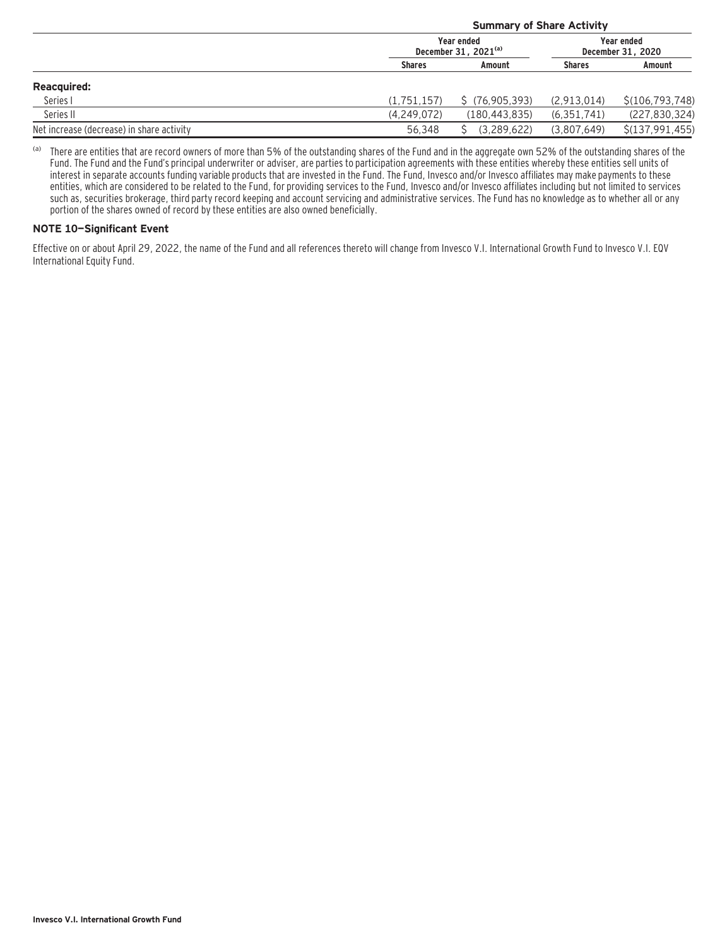|                                           |               | <b>Summary of Share Activity</b>     |               |                                 |  |  |  |  |
|-------------------------------------------|---------------|--------------------------------------|---------------|---------------------------------|--|--|--|--|
|                                           |               | Year ended<br>December 31, $2021(a)$ |               | Year ended<br>December 31, 2020 |  |  |  |  |
|                                           | <b>Shares</b> | Amount                               | <b>Shares</b> | Amount                          |  |  |  |  |
| <b>Reacquired:</b>                        |               |                                      |               |                                 |  |  |  |  |
| Series I                                  | (1.751.157)   | S (76.905.393)                       | (2,913,014)   | \$(106, 793, 748)               |  |  |  |  |
| Series II                                 | (4,249,072)   | (180, 443, 835)                      | (6, 351, 741) | (227, 830, 324)                 |  |  |  |  |
| Net increase (decrease) in share activity | 56.348        | (3.289.622)                          | (3,807,649)   | \$(137,991,455)                 |  |  |  |  |

(a) There are entities that are record owners of more than 5% of the outstanding shares of the Fund and in the aggregate own 52% of the outstanding shares of the Fund. The Fund and the Fund's principal underwriter or adviser, are parties to participation agreements with these entities whereby these entities sell units of interest in separate accounts funding variable products that are invested in the Fund. The Fund, Invesco and/or Invesco affiliates may make payments to these entities, which are considered to be related to the Fund, for providing services to the Fund, Invesco and/or Invesco affiliates including but not limited to services such as, securities brokerage, third party record keeping and account servicing and administrative services. The Fund has no knowledge as to whether all or any portion of the shares owned of record by these entities are also owned beneficially.

### **NOTE 10—Significant Event**

Effective on or about April 29, 2022, the name of the Fund and all references thereto will change from Invesco V.I. International Growth Fund to Invesco V.I. EQV International Equity Fund.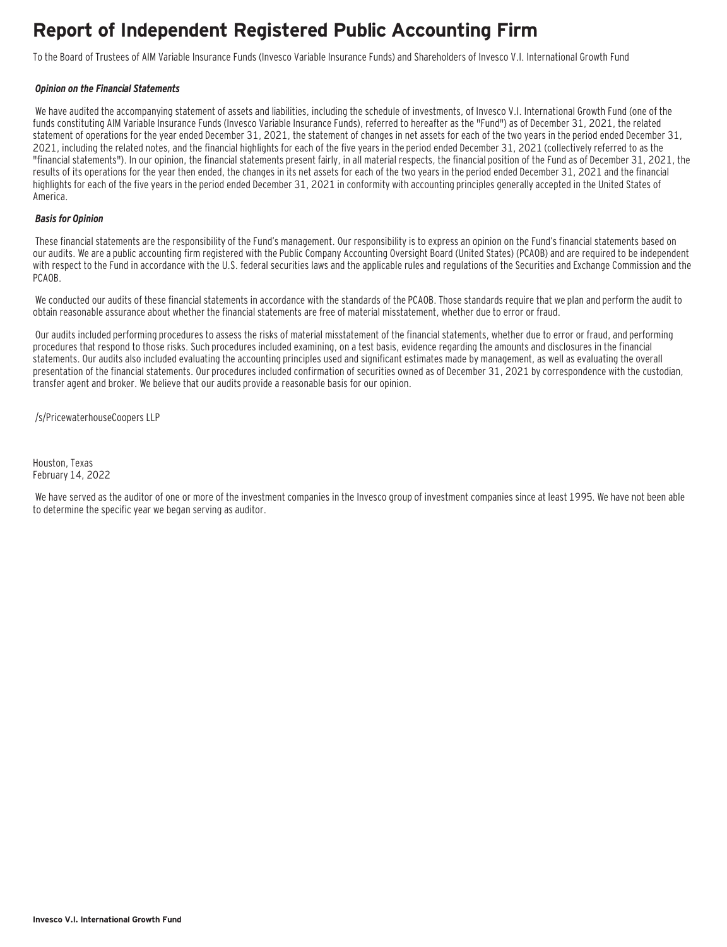### **Report of Independent Registered Public Accounting Firm**

To the Board of Trustees of AIM Variable Insurance Funds (Invesco Variable Insurance Funds) and Shareholders of Invesco V.I. International Growth Fund

#### **Opinion on the Financial Statements**

We have audited the accompanying statement of assets and liabilities, including the schedule of investments, of Invesco V.I. International Growth Fund (one of the funds constituting AIM Variable Insurance Funds (Invesco Variable Insurance Funds), referred to hereafter as the "Fund") as of December 31, 2021, the related statement of operations for the year ended December 31, 2021, the statement of changes in net assets for each of the two years in the period ended December 31, 2021, including the related notes, and the financial highlights for each of the five years in the period ended December 31, 2021 (collectively referred to as the "financial statements"). In our opinion, the financial statements present fairly, in all material respects, the financial position of the Fund as of December 31, 2021, the results of its operations for the year then ended, the changes in its net assets for each of the two years in the period ended December 31, 2021 and the financial highlights for each of the five years in the period ended December 31, 2021 in conformity with accounting principles generally accepted in the United States of America.

#### **Basis for Opinion**

These financial statements are the responsibility of the Fund's management. Our responsibility is to express an opinion on the Fund's financial statements based on our audits. We are a public accounting firm registered with the Public Company Accounting Oversight Board (United States) (PCAOB) and are required to be independent with respect to the Fund in accordance with the U.S. federal securities laws and the applicable rules and regulations of the Securities and Exchange Commission and the PCAOB.

We conducted our audits of these financial statements in accordance with the standards of the PCAOB. Those standards require that we plan and perform the audit to obtain reasonable assurance about whether the financial statements are free of material misstatement, whether due to error or fraud.

 Our audits included performing procedures to assess the risks of material misstatement of the financial statements, whether due to error or fraud, and performing procedures that respond to those risks. Such procedures included examining, on a test basis, evidence regarding the amounts and disclosures in the financial statements. Our audits also included evaluating the accounting principles used and significant estimates made by management, as well as evaluating the overall presentation of the financial statements. Our procedures included confirmation of securities owned as of December 31, 2021 by correspondence with the custodian, transfer agent and broker. We believe that our audits provide a reasonable basis for our opinion.

/s/PricewaterhouseCoopers LLP

Houston, Texas February 14, 2022

 We have served as the auditor of one or more of the investment companies in the Invesco group of investment companies since at least 1995. We have not been able to determine the specific year we began serving as auditor.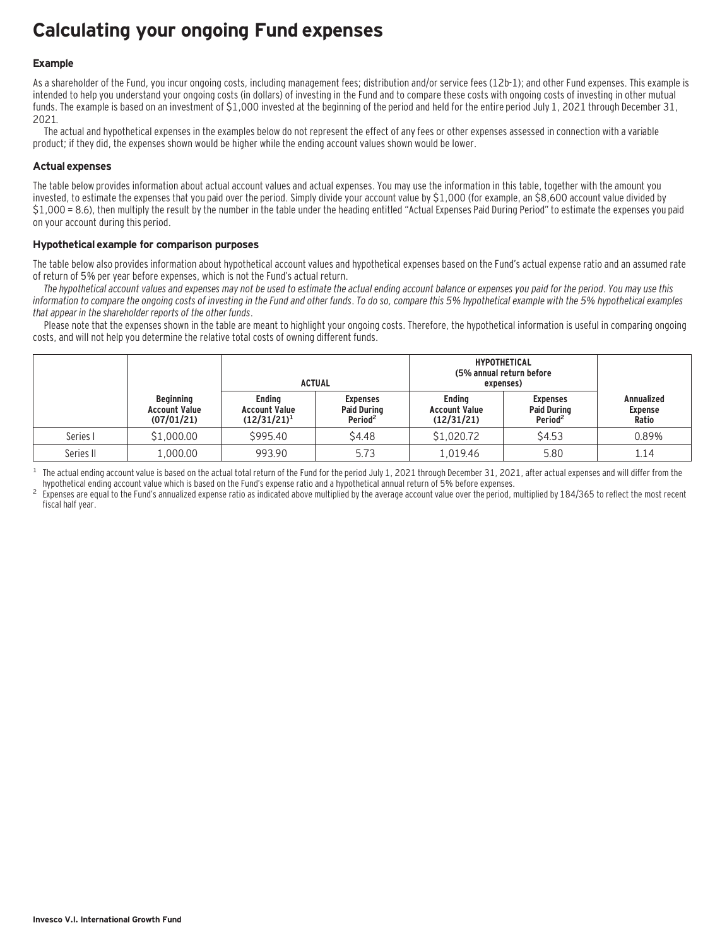### **Calculating your ongoing Fund expenses**

### **Example**

As a shareholder of the Fund, you incur ongoing costs, including management fees; distribution and/or service fees (12b-1); and other Fund expenses. This example is intended to help you understand your ongoing costs (in dollars) of investing in the Fund and to compare these costs with ongoing costs of investing in other mutual funds. The example is based on an investment of \$1,000 invested at the beginning of the period and held for the entire period July 1, 2021 through December 31, 2021.

The actual and hypothetical expenses in the examples below do not represent the effect of any fees or other expenses assessed in connection with a variable product; if they did, the expenses shown would be higher while the ending account values shown would be lower.

#### **Actual expenses**

The table below provides information about actual account values and actual expenses. You may use the information in this table, together with the amount you invested, to estimate the expenses that you paid over the period. Simply divide your account value by \$1,000 (for example, an \$8,600 account value divided by \$1,000 = 8.6), then multiply the result by the number in the table under the heading entitled "Actual Expenses Paid During Period" to estimate the expenses you paid on your account during this period.

#### **Hypothetical example for comparison purposes**

The table below also provides information about hypothetical account values and hypothetical expenses based on the Fund's actual expense ratio and an assumed rate of return of 5% per year before expenses, which is not the Fund's actual return.

The hypothetical account values and expenses may not be used to estimate the actual ending account balance or expenses you paid for the period. You may use this information to compare the ongoing costs of investing in the Fund and other funds. To do so, compare this 5% hypothetical example with the 5% hypothetical examples that appear in the shareholder reports of the other funds.

Please note that the expenses shown in the table are meant to highlight your ongoing costs. Therefore, the hypothetical information is useful in comparing ongoing costs, and will not help you determine the relative total costs of owning different funds.

|           |                                                        |                                                         | <b>ACTUAL</b>                                                | <b>HYPOTHETICAL</b><br>(5% annual return before<br>expenses) |                                                              |                                              |
|-----------|--------------------------------------------------------|---------------------------------------------------------|--------------------------------------------------------------|--------------------------------------------------------------|--------------------------------------------------------------|----------------------------------------------|
|           | <b>Beginning</b><br><b>Account Value</b><br>(07/01/21) | <b>Endina</b><br><b>Account Value</b><br>$(12/31/21)^1$ | <b>Expenses</b><br><b>Paid During</b><br>Period <sup>2</sup> | <b>Endina</b><br><b>Account Value</b><br>(12/31/21)          | <b>Expenses</b><br><b>Paid During</b><br>Period <sup>2</sup> | <b>Annualized</b><br><b>Expense</b><br>Ratio |
| Series I  | \$1,000.00                                             | \$995.40                                                | \$4.48                                                       | \$1,020.72                                                   | \$4.53                                                       | 0.89%                                        |
| Series II | 1,000.00                                               | 993.90                                                  | 5.73                                                         | 1.019.46                                                     | 5.80                                                         | 1.14                                         |

<sup>1</sup> The actual ending account value is based on the actual total return of the Fund for the period July 1, 2021 through December 31, 2021, after actual expenses and will differ from the hupothetical ending account value w

Expenses are equal to the Fund's annualized expense ratio as indicated above multiplied by the average account value over the period, multiplied by 184/365 to reflect the most recent fiscal half year.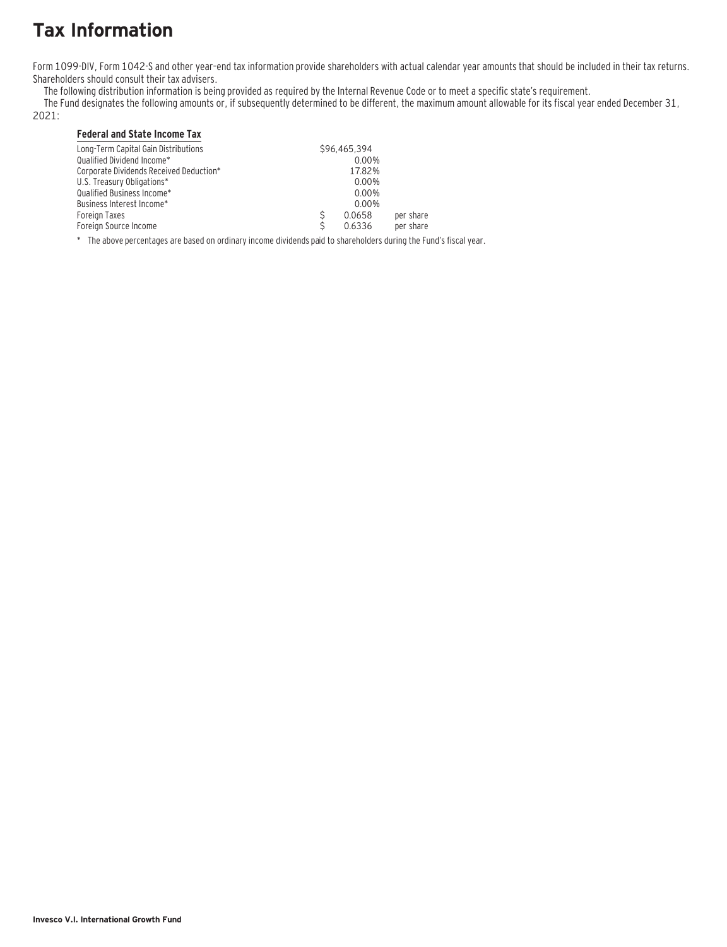# **Tax Information**

Form 1099-DIV, Form 1042-S and other year–end tax information provide shareholders with actual calendar year amounts that should be included in their tax returns. Shareholders should consult their tax advisers.

The following distribution information is being provided as required by the Internal Revenue Code or to meet a specific state's requirement.

The Fund designates the following amounts or, if subsequently determined to be different, the maximum amount allowable for its fiscal year ended December 31,

### 2021:

### **Federal and State Income Tax**

| Long-Term Capital Gain Distributions    | \$96.465.394 |           |
|-----------------------------------------|--------------|-----------|
| Qualified Dividend Income*              | $0.00\%$     |           |
| Corporate Dividends Received Deduction* | 17.82%       |           |
| U.S. Treasury Obligations*              | 0.00%        |           |
| Qualified Business Income*              | 0.00%        |           |
| Business Interest Income*               | 0.00%        |           |
| Foreign Taxes                           | 0.0658       | per share |
| Foreign Source Income                   | 0.6336       | per share |

\* The above percentages are based on ordinary income dividends paid to shareholders during the Fund's fiscal year.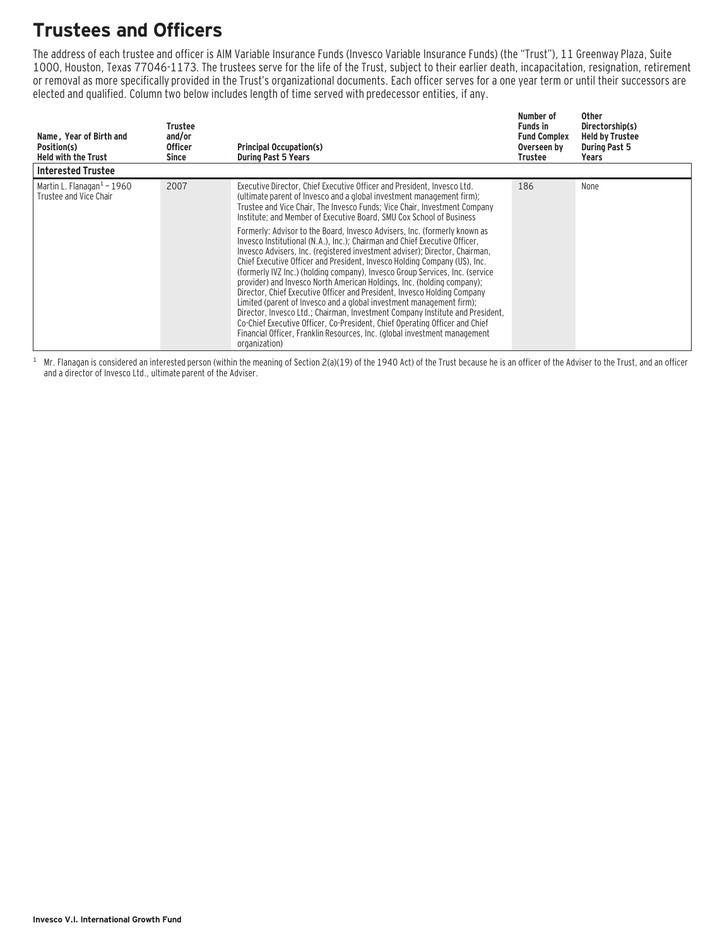### **Trustees and Officers**

The address of each trustee and officer is AIM Variable Insurance Funds (Invesco Variable Insurance Funds) (the "Trust"), 11 Greenway Plaza, Suite 1000, Houston, Texas 77046-1173. The trustees serve for the life of the Trust, subject to their earlier death, incapacitation, resignation, retirement or removal as more specifically provided in the Trust's organizational documents. Each officer serves for a one year term or until their successors are elected and qualified. Column two below includes length of time served with predecessor entities, if any.

| Name, Year of Birth and<br>Position(s)<br><b>Held with the Trust</b> | Trustee<br>and/or<br><b>Officer</b><br>Since | <b>Principal Occupation(s)</b><br><b>During Past 5 Years</b>                                                                                                                                                                                                                                                                                                                                                                                                                                                                                                                                                                                                                                                                                                                                                                                                                                                                                                                                                                                                                                                                                                                                             | Number of<br><b>Funds in</b><br><b>Fund Complex</b><br>Overseen by<br>Trustee | Other<br>Directorship(s)<br><b>Held by Trustee</b><br><b>During Past 5</b><br>Years |
|----------------------------------------------------------------------|----------------------------------------------|----------------------------------------------------------------------------------------------------------------------------------------------------------------------------------------------------------------------------------------------------------------------------------------------------------------------------------------------------------------------------------------------------------------------------------------------------------------------------------------------------------------------------------------------------------------------------------------------------------------------------------------------------------------------------------------------------------------------------------------------------------------------------------------------------------------------------------------------------------------------------------------------------------------------------------------------------------------------------------------------------------------------------------------------------------------------------------------------------------------------------------------------------------------------------------------------------------|-------------------------------------------------------------------------------|-------------------------------------------------------------------------------------|
| <b>Interested Trustee</b>                                            |                                              |                                                                                                                                                                                                                                                                                                                                                                                                                                                                                                                                                                                                                                                                                                                                                                                                                                                                                                                                                                                                                                                                                                                                                                                                          |                                                                               |                                                                                     |
| Martin L. Flanagan $1$ – 1960<br>Trustee and Vice Chair              | 2007                                         | Executive Director, Chief Executive Officer and President, Invesco Ltd.<br>(ultimate parent of Invesco and a global investment management firm);<br>Trustee and Vice Chair, The Invesco Funds; Vice Chair, Investment Company<br>Institute; and Member of Executive Board, SMU Cox School of Business<br>Formerly: Advisor to the Board, Invesco Advisers, Inc. (formerly known as<br>Invesco Institutional (N.A.), Inc.): Chairman and Chief Executive Officer.<br>Invesco Advisers, Inc. (registered investment adviser); Director, Chairman,<br>Chief Executive Officer and President, Invesco Holding Company (US), Inc.<br>(formerly IVZ Inc.) (holding company), Invesco Group Services, Inc. (service<br>provider) and Invesco North American Holdings, Inc. (holding company);<br>Director, Chief Executive Officer and President, Invesco Holding Company<br>Limited (parent of Invesco and a global investment management firm);<br>Director, Invesco Ltd.; Chairman, Investment Company Institute and President,<br>Co-Chief Executive Officer, Co-President, Chief Operating Officer and Chief<br>Financial Officer, Franklin Resources, Inc. (global investment management<br>organization) | 186                                                                           | None                                                                                |

 $1$  Mr. Flanagan is considered an interested person (within the meaning of Section 2(a)(19) of the 1940 Act) of the Trust because he is an officer of the Adviser to the Trust, and an officer and a director of Invesco Ltd., ultimate parent of the Adviser.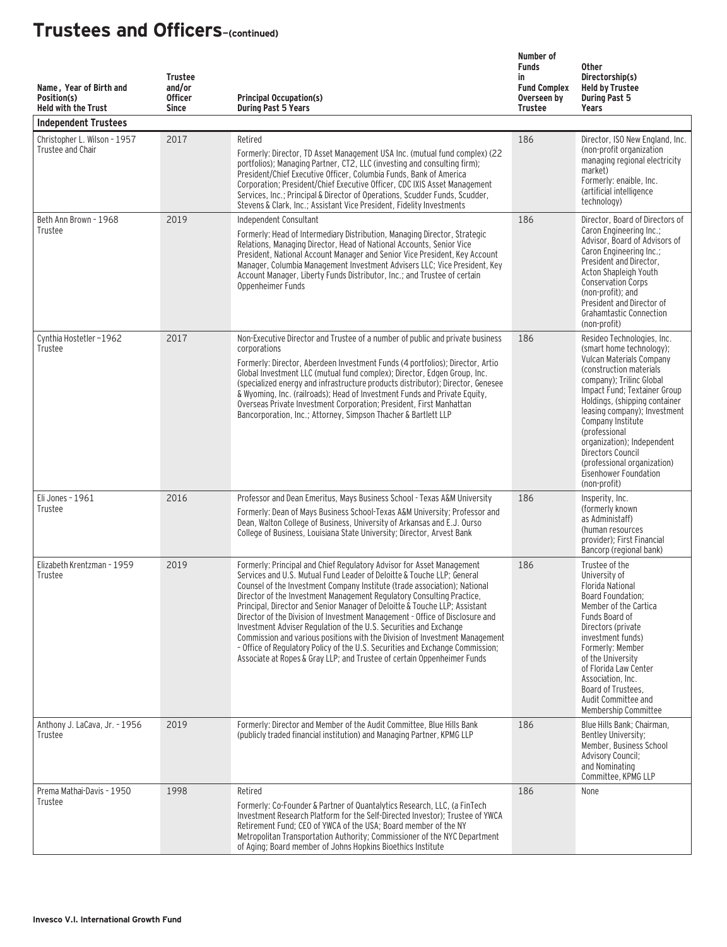| Name, Year of Birth and<br>Position(s)<br><b>Held with the Trust</b><br><b>Independent Trustees</b> | <b>Trustee</b><br>and/or<br><b>Officer</b><br><b>Since</b> | <b>Principal Occupation(s)</b><br><b>During Past 5 Years</b>                                                                                                                                                                                                                                                                                                                                                                                                                                                                                                                                                                                                                                                                                                                        | Number of<br><b>Funds</b><br>in<br><b>Fund Complex</b><br>Overseen by<br><b>Trustee</b> | <b>Other</b><br>Directorship(s)<br><b>Held by Trustee</b><br><b>During Past 5</b><br>Years                                                                                                                                                                                                                                                                                                                   |
|-----------------------------------------------------------------------------------------------------|------------------------------------------------------------|-------------------------------------------------------------------------------------------------------------------------------------------------------------------------------------------------------------------------------------------------------------------------------------------------------------------------------------------------------------------------------------------------------------------------------------------------------------------------------------------------------------------------------------------------------------------------------------------------------------------------------------------------------------------------------------------------------------------------------------------------------------------------------------|-----------------------------------------------------------------------------------------|--------------------------------------------------------------------------------------------------------------------------------------------------------------------------------------------------------------------------------------------------------------------------------------------------------------------------------------------------------------------------------------------------------------|
| Christopher L. Wilson - 1957<br>Trustee and Chair                                                   | 2017                                                       | Retired<br>Formerly: Director, TD Asset Management USA Inc. (mutual fund complex) (22<br>portfolios); Managing Partner, CT2, LLC (investing and consulting firm);<br>President/Chief Executive Officer, Columbia Funds, Bank of America<br>Corporation; President/Chief Executive Officer, CDC IXIS Asset Management<br>Services, Inc.; Principal & Director of Operations, Scudder Funds, Scudder,<br>Stevens & Clark, Inc.; Assistant Vice President, Fidelity Investments                                                                                                                                                                                                                                                                                                        | 186                                                                                     | Director, ISO New England, Inc.<br>(non-profit organization<br>managing regional electricity<br>market)<br>Formerly: enaible, Inc.<br>(artificial intelligence<br>technology)                                                                                                                                                                                                                                |
| Beth Ann Brown - 1968<br>Trustee                                                                    | 2019                                                       | Independent Consultant<br>Formerly: Head of Intermediary Distribution, Managing Director, Strategic<br>Relations, Managing Director, Head of National Accounts, Senior Vice<br>President, National Account Manager and Senior Vice President, Key Account<br>Manager, Columbia Management Investment Advisers LLC; Vice President, Key<br>Account Manager, Liberty Funds Distributor, Inc.; and Trustee of certain<br>Oppenheimer Funds                                                                                                                                                                                                                                                                                                                                             | 186                                                                                     | Director, Board of Directors of<br>Caron Engineering Inc.;<br>Advisor, Board of Advisors of<br>Caron Engineering Inc.;<br>President and Director,<br>Acton Shapleigh Youth<br><b>Conservation Corps</b><br>(non-profit); and<br>President and Director of<br><b>Grahamtastic Connection</b><br>(non-profit)                                                                                                  |
| Cynthia Hostetler-1962<br>Trustee                                                                   | 2017                                                       | Non-Executive Director and Trustee of a number of public and private business<br>corporations<br>Formerly: Director, Aberdeen Investment Funds (4 portfolios); Director, Artio<br>Global Investment LLC (mutual fund complex); Director, Edgen Group, Inc.<br>(specialized energy and infrastructure products distributor); Director, Genesee<br>& Wyoming, Inc. (railroads); Head of Investment Funds and Private Equity,<br>Overseas Private Investment Corporation; President, First Manhattan<br>Bancorporation, Inc.; Attorney, Simpson Thacher & Bartlett LLP                                                                                                                                                                                                                 | 186                                                                                     | Resideo Technologies, Inc.<br>(smart home technology);<br>Vulcan Materials Company<br>(construction materials)<br>company); Trilinc Global<br>Impact Fund; Textainer Group<br>Holdings, (shipping container<br>leasing company); Investment<br>Company Institute<br>(professional<br>organization); Independent<br>Directors Council<br>(professional organization)<br>Eisenhower Foundation<br>(non-profit) |
| Eli Jones - 1961<br>Trustee                                                                         | 2016                                                       | Professor and Dean Emeritus, Mays Business School - Texas A&M University<br>Formerly: Dean of Mays Business School-Texas A&M University; Professor and<br>Dean, Walton College of Business, University of Arkansas and E.J. Ourso<br>College of Business, Louisiana State University; Director, Arvest Bank                                                                                                                                                                                                                                                                                                                                                                                                                                                                         | 186                                                                                     | Insperity, Inc.<br>(formerly known)<br>as Administaff)<br>(human resources<br>provider): First Financial<br>Bancorp (regional bank)                                                                                                                                                                                                                                                                          |
| Elizabeth Krentzman - 1959<br>Trustee                                                               | 2019                                                       | Formerly: Principal and Chief Regulatory Advisor for Asset Management<br>Services and U.S. Mutual Fund Leader of Deloitte & Touche LLP: General<br>Counsel of the Investment Company Institute (trade association); National<br>Director of the Investment Management Regulatory Consulting Practice,<br>Principal, Director and Senior Manager of Deloitte & Touche LLP; Assistant<br>Director of the Division of Investment Management - Office of Disclosure and<br>Investment Adviser Regulation of the U.S. Securities and Exchange<br>Commission and various positions with the Division of Investment Management<br>- Office of Regulatory Policy of the U.S. Securities and Exchange Commission;<br>Associate at Ropes & Gray LLP; and Trustee of certain Oppenheimer Funds | 186                                                                                     | Trustee of the<br>University of<br><b>Florida National</b><br>Board Foundation;<br>Member of the Cartica<br>Funds Board of<br>Directors (private<br>investment funds)<br>Formerly: Member<br>of the University<br>of Florida Law Center<br>Association, Inc.<br>Board of Trustees,<br>Audit Committee and<br>Membership Committee                                                                            |
| Anthony J. LaCava, Jr. - 1956<br>Trustee                                                            | 2019                                                       | Formerly: Director and Member of the Audit Committee, Blue Hills Bank<br>(publicly traded financial institution) and Managing Partner, KPMG LLP                                                                                                                                                                                                                                                                                                                                                                                                                                                                                                                                                                                                                                     | 186                                                                                     | Blue Hills Bank; Chairman,<br>Bentley University;<br>Member, Business School<br><b>Advisory Council;</b><br>and Nominating<br>Committee, KPMG LLP                                                                                                                                                                                                                                                            |
| Prema Mathai-Davis - 1950<br>Trustee                                                                | 1998                                                       | Retired<br>Formerly: Co-Founder & Partner of Quantalytics Research, LLC, (a FinTech<br>Investment Research Platform for the Self-Directed Investor); Trustee of YWCA<br>Retirement Fund; CEO of YWCA of the USA; Board member of the NY<br>Metropolitan Transportation Authority; Commissioner of the NYC Department<br>of Aging; Board member of Johns Hopkins Bioethics Institute                                                                                                                                                                                                                                                                                                                                                                                                 | 186                                                                                     | None                                                                                                                                                                                                                                                                                                                                                                                                         |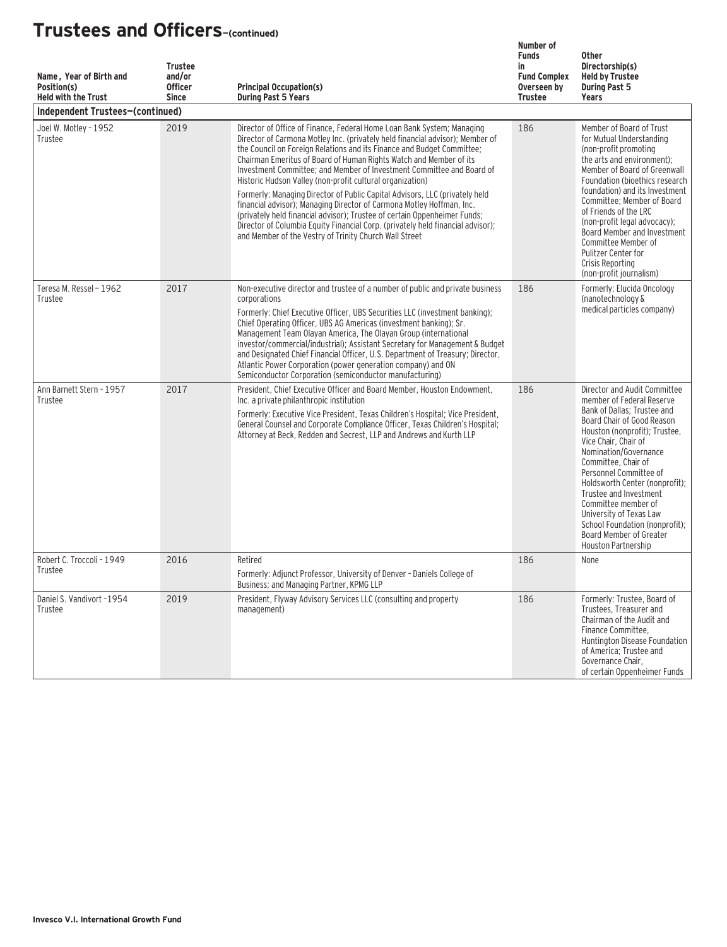| Name, Year of Birth and<br>Position(s)<br><b>Held with the Trust</b> | <b>Trustee</b><br>and/or<br><b>Officer</b><br><b>Since</b> | <b>Principal Occupation(s)</b><br><b>During Past 5 Years</b>                                                                                                                                                                                                                                                                                                                                                                                                                                                                                                                                                                                                                                                                                                                                                                    | Number of<br><b>Funds</b><br>in<br><b>Fund Complex</b><br>Overseen by<br><b>Trustee</b> | <b>Other</b><br>Directorship(s)<br><b>Held by Trustee</b><br><b>During Past 5</b><br>Years                                                                                                                                                                                                                                                                                                                                                                  |
|----------------------------------------------------------------------|------------------------------------------------------------|---------------------------------------------------------------------------------------------------------------------------------------------------------------------------------------------------------------------------------------------------------------------------------------------------------------------------------------------------------------------------------------------------------------------------------------------------------------------------------------------------------------------------------------------------------------------------------------------------------------------------------------------------------------------------------------------------------------------------------------------------------------------------------------------------------------------------------|-----------------------------------------------------------------------------------------|-------------------------------------------------------------------------------------------------------------------------------------------------------------------------------------------------------------------------------------------------------------------------------------------------------------------------------------------------------------------------------------------------------------------------------------------------------------|
| Independent Trustees-(continued)                                     |                                                            |                                                                                                                                                                                                                                                                                                                                                                                                                                                                                                                                                                                                                                                                                                                                                                                                                                 |                                                                                         |                                                                                                                                                                                                                                                                                                                                                                                                                                                             |
| Joel W. Motley - 1952<br>Trustee                                     | 2019                                                       | Director of Office of Finance, Federal Home Loan Bank System; Managing<br>Director of Carmona Motley Inc. (privately held financial advisor); Member of<br>the Council on Foreign Relations and its Finance and Budget Committee;<br>Chairman Emeritus of Board of Human Rights Watch and Member of its<br>Investment Committee; and Member of Investment Committee and Board of<br>Historic Hudson Valley (non-profit cultural organization)<br>Formerly: Managing Director of Public Capital Advisors, LLC (privately held<br>financial advisor); Managing Director of Carmona Motley Hoffman, Inc.<br>(privately held financial advisor); Trustee of certain Oppenheimer Funds;<br>Director of Columbia Equity Financial Corp. (privately held financial advisor);<br>and Member of the Vestry of Trinity Church Wall Street | 186                                                                                     | Member of Board of Trust<br>for Mutual Understanding<br>(non-profit promoting<br>the arts and environment);<br>Member of Board of Greenwall<br>Foundation (bioethics research<br>foundation) and its Investment<br>Committee; Member of Board<br>of Friends of the LRC<br>(non-profit legal advocacy);<br>Board Member and Investment<br>Committee Member of<br>Pulitzer Center for<br>Crisis Reporting<br>(non-profit journalism)                          |
| Teresa M. Ressel - 1962<br>Trustee                                   | 2017                                                       | Non-executive director and trustee of a number of public and private business<br>corporations<br>Formerly: Chief Executive Officer. UBS Securities LLC (investment banking):<br>Chief Operating Officer, UBS AG Americas (investment banking); Sr.<br>Management Team Olayan America, The Olayan Group (international<br>investor/commercial/industrial); Assistant Secretary for Management & Budget<br>and Designated Chief Financial Officer, U.S. Department of Treasury; Director,<br>Atlantic Power Corporation (power generation company) and ON<br>Semiconductor Corporation (semiconductor manufacturing)                                                                                                                                                                                                              | 186                                                                                     | Formerly: Elucida Oncology<br>(nanotechnology &<br>medical particles company)                                                                                                                                                                                                                                                                                                                                                                               |
| Ann Barnett Stern - 1957<br>Trustee                                  | 2017                                                       | President, Chief Executive Officer and Board Member, Houston Endowment.<br>Inc. a private philanthropic institution<br>Formerly: Executive Vice President, Texas Children's Hospital; Vice President,<br>General Counsel and Corporate Compliance Officer, Texas Children's Hospital;<br>Attorney at Beck, Redden and Secrest, LLP and Andrews and Kurth LLP                                                                                                                                                                                                                                                                                                                                                                                                                                                                    | 186                                                                                     | Director and Audit Committee<br>member of Federal Reserve<br>Bank of Dallas; Trustee and<br>Board Chair of Good Reason<br>Houston (nonprofit); Trustee,<br>Vice Chair, Chair of<br>Nomination/Governance<br>Committee, Chair of<br>Personnel Committee of<br>Holdsworth Center (nonprofit);<br>Trustee and Investment<br>Committee member of<br>University of Texas Law<br>School Foundation (nonprofit):<br>Board Member of Greater<br>Houston Partnership |
| Robert C. Troccoli - 1949<br>Trustee                                 | 2016                                                       | Retired<br>Formerly: Adjunct Professor, University of Denver - Daniels College of<br>Business; and Managing Partner, KPMG LLP                                                                                                                                                                                                                                                                                                                                                                                                                                                                                                                                                                                                                                                                                                   | 186                                                                                     | None                                                                                                                                                                                                                                                                                                                                                                                                                                                        |
| Daniel S. Vandivort -1954<br>Trustee                                 | 2019                                                       | President, Flyway Advisory Services LLC (consulting and property<br>management)                                                                                                                                                                                                                                                                                                                                                                                                                                                                                                                                                                                                                                                                                                                                                 | 186                                                                                     | Formerly: Trustee, Board of<br>Trustees, Treasurer and<br>Chairman of the Audit and<br>Finance Committee.<br>Huntington Disease Foundation<br>of America; Trustee and<br>Governance Chair,<br>of certain Oppenheimer Funds                                                                                                                                                                                                                                  |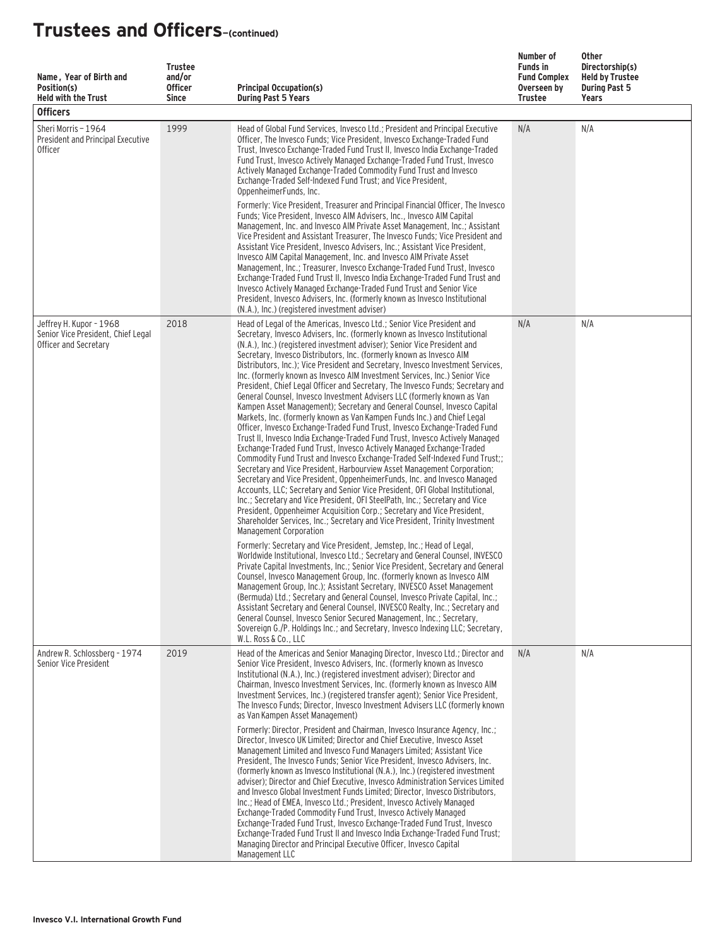| Name, Year of Birth and<br>Position(s)<br><b>Held with the Trust</b><br><b>Officers</b> | <b>Trustee</b><br>and/or<br><b>Officer</b><br><b>Since</b> | <b>Principal Occupation(s)</b><br><b>During Past 5 Years</b>                                                                                                                                                                                                                                                                                                                                                                                                                                                                                                                                                                                                                                                                                                                                                                                                                                                                                                                                                                                                                                                                                                                                                                                                                                                                                                                                                                                                                                                                                                                                                                 | Number of<br><b>Funds in</b><br><b>Fund Complex</b><br>Overseen by<br>Trustee | Other<br>Directorship(s)<br><b>Held by Trustee</b><br><b>During Past 5</b><br>Years |
|-----------------------------------------------------------------------------------------|------------------------------------------------------------|------------------------------------------------------------------------------------------------------------------------------------------------------------------------------------------------------------------------------------------------------------------------------------------------------------------------------------------------------------------------------------------------------------------------------------------------------------------------------------------------------------------------------------------------------------------------------------------------------------------------------------------------------------------------------------------------------------------------------------------------------------------------------------------------------------------------------------------------------------------------------------------------------------------------------------------------------------------------------------------------------------------------------------------------------------------------------------------------------------------------------------------------------------------------------------------------------------------------------------------------------------------------------------------------------------------------------------------------------------------------------------------------------------------------------------------------------------------------------------------------------------------------------------------------------------------------------------------------------------------------------|-------------------------------------------------------------------------------|-------------------------------------------------------------------------------------|
| Sheri Morris - 1964<br>President and Principal Executive<br><b>Officer</b>              | 1999                                                       | Head of Global Fund Services, Invesco Ltd.; President and Principal Executive<br>Officer, The Invesco Funds; Vice President, Invesco Exchange-Traded Fund<br>Trust, Invesco Exchange-Traded Fund Trust II, Invesco India Exchange-Traded<br>Fund Trust, Invesco Actively Managed Exchange-Traded Fund Trust, Invesco<br>Actively Managed Exchange-Traded Commodity Fund Trust and Invesco<br>Exchange-Traded Self-Indexed Fund Trust: and Vice President.<br>OppenheimerFunds, Inc.<br>Formerly: Vice President, Treasurer and Principal Financial Officer, The Invesco<br>Funds; Vice President, Invesco AIM Advisers, Inc., Invesco AIM Capital<br>Management, Inc. and Invesco AIM Private Asset Management, Inc.; Assistant<br>Vice President and Assistant Treasurer, The Invesco Funds; Vice President and<br>Assistant Vice President, Invesco Advisers, Inc.; Assistant Vice President,<br>Invesco AIM Capital Management, Inc. and Invesco AIM Private Asset<br>Management, Inc.; Treasurer, Invesco Exchange-Traded Fund Trust, Invesco<br>Exchange-Traded Fund Trust II, Invesco India Exchange-Traded Fund Trust and<br>Invesco Actively Managed Exchange-Traded Fund Trust and Senior Vice<br>President, Invesco Advisers, Inc. (formerly known as Invesco Institutional<br>(N.A.), Inc.) (registered investment adviser)                                                                                                                                                                                                                                                                                       | N/A                                                                           | N/A                                                                                 |
| Jeffrey H. Kupor - 1968<br>Senior Vice President, Chief Legal<br>Officer and Secretary  | 2018                                                       | Head of Legal of the Americas, Invesco Ltd.; Senior Vice President and<br>Secretary, Invesco Advisers, Inc. (formerly known as Invesco Institutional<br>(N.A.), Inc.) (registered investment adviser); Senior Vice President and<br>Secretary, Invesco Distributors, Inc. (formerly known as Invesco AIM<br>Distributors, Inc.); Vice President and Secretary, Invesco Investment Services,<br>Inc. (formerly known as Invesco AIM Investment Services, Inc.) Senior Vice<br>President, Chief Legal Officer and Secretary, The Invesco Funds; Secretary and<br>General Counsel, Invesco Investment Advisers LLC (formerly known as Van<br>Kampen Asset Management); Secretary and General Counsel, Invesco Capital<br>Markets, Inc. (formerly known as Van Kampen Funds Inc.) and Chief Legal<br>Officer, Invesco Exchange-Traded Fund Trust, Invesco Exchange-Traded Fund<br>Trust II, Invesco India Exchange-Traded Fund Trust, Invesco Actively Managed<br>Exchange-Traded Fund Trust, Invesco Actively Managed Exchange-Traded<br>Commodity Fund Trust and Invesco Exchange-Traded Self-Indexed Fund Trust;;<br>Secretary and Vice President, Harbourview Asset Management Corporation;<br>Secretary and Vice President, OppenheimerFunds, Inc. and Invesco Managed<br>Accounts, LLC; Secretary and Senior Vice President, OFI Global Institutional,<br>Inc.; Secretary and Vice President, OFI SteelPath, Inc.; Secretary and Vice<br>President, Oppenheimer Acquisition Corp.; Secretary and Vice President,<br>Shareholder Services, Inc.; Secretary and Vice President, Trinity Investment<br>Management Corporation | N/A                                                                           | N/A                                                                                 |
|                                                                                         |                                                            | Formerly: Secretary and Vice President, Jemstep, Inc.; Head of Legal,<br>Worldwide Institutional, Invesco Ltd.; Secretary and General Counsel, INVESCO<br>Private Capital Investments, Inc.; Senior Vice President, Secretary and General<br>Counsel, Invesco Management Group, Inc. (formerly known as Invesco AIM<br>Management Group, Inc.); Assistant Secretary, INVESCO Asset Management<br>(Bermuda) Ltd.; Secretary and General Counsel, Invesco Private Capital, Inc.;<br>Assistant Secretary and General Counsel, INVESCO Realty, Inc.; Secretary and<br>General Counsel, Invesco Senior Secured Management, Inc.; Secretary,<br>Sovereign G./P. Holdings Inc.; and Secretary, Invesco Indexing LLC; Secretary,<br>W.L. Ross & Co., LLC                                                                                                                                                                                                                                                                                                                                                                                                                                                                                                                                                                                                                                                                                                                                                                                                                                                                             |                                                                               |                                                                                     |
| Andrew R. Schlossberg - 1974<br>Senior Vice President                                   | 2019                                                       | Head of the Americas and Senior Managing Director, Invesco Ltd.; Director and<br>Senior Vice President, Invesco Advisers, Inc. (formerly known as Invesco<br>Institutional (N.A.), Inc.) (registered investment adviser); Director and<br>Chairman, Invesco Investment Services, Inc. (formerly known as Invesco AIM<br>Investment Services, Inc.) (registered transfer agent); Senior Vice President,<br>The Invesco Funds: Director, Invesco Investment Advisers LLC (formerly known<br>as Van Kampen Asset Management)<br>Formerly: Director, President and Chairman, Invesco Insurance Agency, Inc.:<br>Director, Invesco UK Limited; Director and Chief Executive, Invesco Asset<br>Management Limited and Invesco Fund Managers Limited; Assistant Vice<br>President, The Invesco Funds; Senior Vice President, Invesco Advisers, Inc.<br>(formerly known as Invesco Institutional (N.A.), Inc.) (registered investment<br>adviser); Director and Chief Executive, Invesco Administration Services Limited<br>and Invesco Global Investment Funds Limited; Director, Invesco Distributors,<br>Inc.; Head of EMEA, Invesco Ltd.; President, Invesco Actively Managed<br>Exchange-Traded Commodity Fund Trust, Invesco Actively Managed<br>Exchange-Traded Fund Trust, Invesco Exchange-Traded Fund Trust, Invesco<br>Exchange-Traded Fund Trust II and Invesco India Exchange-Traded Fund Trust;<br>Managing Director and Principal Executive Officer, Invesco Capital                                                                                                                                                  | N/A                                                                           | N/A                                                                                 |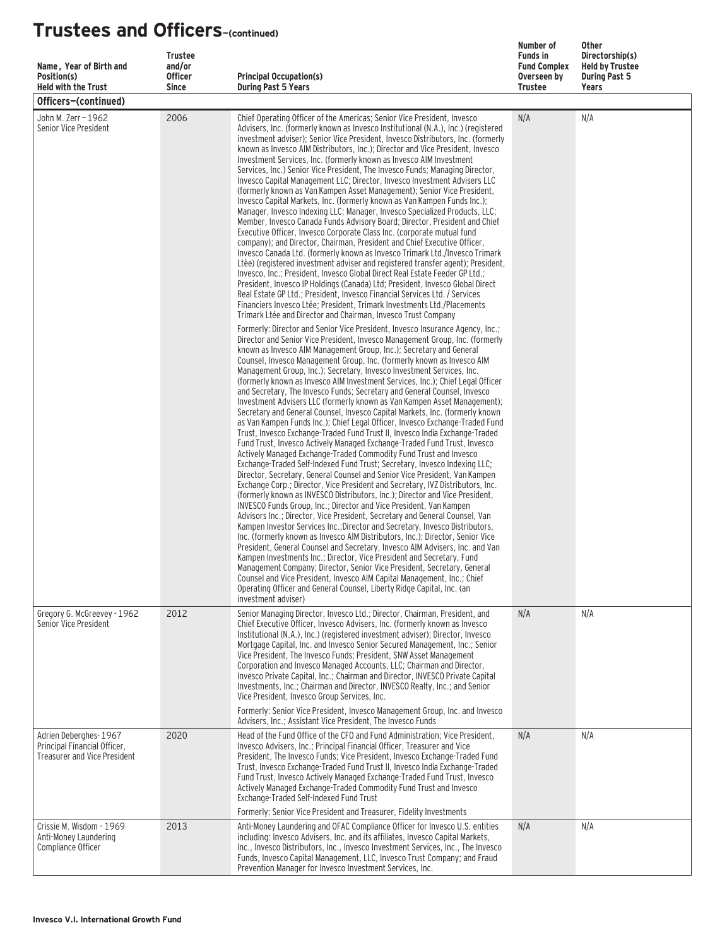| Name, Year of Birth and<br>Position(s)<br><b>Held with the Trust</b>                         | <b>Trustee</b><br>and/or<br><b>Officer</b><br><b>Since</b> | <b>Principal Occupation(s)</b><br><b>During Past 5 Years</b>                                                                                                                                                                                                                                                                                                                                                                                                                                                                                                                                                                                                                                                                                                                                                                                                                                                                                                                                                                                                                                                                                                                                                                                                                                                                                                                                                                                                                                                                                                                                                                                                                                                                                                                                                                                                                                                                                                                                                                                                                                          | Number of<br><b>Funds in</b><br><b>Fund Complex</b><br>Overseen by<br><b>Trustee</b> | <b>Other</b><br>Directorship(s)<br><b>Held by Trustee</b><br><b>During Past 5</b><br>Years |
|----------------------------------------------------------------------------------------------|------------------------------------------------------------|-------------------------------------------------------------------------------------------------------------------------------------------------------------------------------------------------------------------------------------------------------------------------------------------------------------------------------------------------------------------------------------------------------------------------------------------------------------------------------------------------------------------------------------------------------------------------------------------------------------------------------------------------------------------------------------------------------------------------------------------------------------------------------------------------------------------------------------------------------------------------------------------------------------------------------------------------------------------------------------------------------------------------------------------------------------------------------------------------------------------------------------------------------------------------------------------------------------------------------------------------------------------------------------------------------------------------------------------------------------------------------------------------------------------------------------------------------------------------------------------------------------------------------------------------------------------------------------------------------------------------------------------------------------------------------------------------------------------------------------------------------------------------------------------------------------------------------------------------------------------------------------------------------------------------------------------------------------------------------------------------------------------------------------------------------------------------------------------------------|--------------------------------------------------------------------------------------|--------------------------------------------------------------------------------------------|
| Officers-(continued)                                                                         |                                                            |                                                                                                                                                                                                                                                                                                                                                                                                                                                                                                                                                                                                                                                                                                                                                                                                                                                                                                                                                                                                                                                                                                                                                                                                                                                                                                                                                                                                                                                                                                                                                                                                                                                                                                                                                                                                                                                                                                                                                                                                                                                                                                       |                                                                                      |                                                                                            |
| John M. Zerr - 1962<br>Senior Vice President                                                 | 2006                                                       | Chief Operating Officer of the Americas; Senior Vice President, Invesco<br>Advisers, Inc. (formerly known as Invesco Institutional (N.A.), Inc.) (registered<br>investment adviser); Senior Vice President, Invesco Distributors, Inc. (formerly<br>known as Invesco AIM Distributors, Inc.); Director and Vice President, Invesco<br>Investment Services, Inc. (formerly known as Invesco AIM Investment<br>Services, Inc.) Senior Vice President, The Invesco Funds; Managing Director,<br>Invesco Capital Management LLC; Director, Invesco Investment Advisers LLC<br>(formerly known as Van Kampen Asset Management); Senior Vice President,<br>Invesco Capital Markets, Inc. (formerly known as Van Kampen Funds Inc.);<br>Manager, Invesco Indexing LLC; Manager, Invesco Specialized Products, LLC;<br>Member, Invesco Canada Funds Advisory Board; Director, President and Chief<br>Executive Officer, Invesco Corporate Class Inc. (corporate mutual fund<br>company); and Director, Chairman, President and Chief Executive Officer,<br>Invesco Canada Ltd. (formerly known as Invesco Trimark Ltd./Invesco Trimark<br>Ltèe) (registered investment adviser and registered transfer agent); President,<br>Invesco, Inc.; President, Invesco Global Direct Real Estate Feeder GP Ltd.;<br>President, Invesco IP Holdings (Canada) Ltd: President, Invesco Global Direct<br>Real Estate GP Ltd.; President, Invesco Financial Services Ltd. / Services<br>Financiers Invesco Ltée: President, Trimark Investments Ltd./Placements<br>Trimark Ltée and Director and Chairman, Invesco Trust Company                                                                                                                                                                                                                                                                                                                                                                                                                                                                                           | N/A                                                                                  | N/A                                                                                        |
|                                                                                              |                                                            | Formerly: Director and Senior Vice President, Invesco Insurance Agency, Inc.;<br>Director and Senior Vice President, Invesco Management Group, Inc. (formerly<br>known as Invesco AIM Management Group, Inc.); Secretary and General<br>Counsel, Invesco Management Group, Inc. (formerly known as Invesco AIM<br>Management Group, Inc.); Secretary, Invesco Investment Services, Inc.<br>(formerly known as Invesco AIM Investment Services, Inc.); Chief Legal Officer<br>and Secretary, The Invesco Funds; Secretary and General Counsel, Invesco<br>Investment Advisers LLC (formerly known as Van Kampen Asset Management);<br>Secretary and General Counsel, Invesco Capital Markets, Inc. (formerly known<br>as Van Kampen Funds Inc.); Chief Legal Officer, Invesco Exchange-Traded Fund<br>Trust, Invesco Exchange-Traded Fund Trust II, Invesco India Exchange-Traded<br>Fund Trust, Invesco Actively Managed Exchange-Traded Fund Trust, Invesco<br>Actively Managed Exchange-Traded Commodity Fund Trust and Invesco<br>Exchange-Traded Self-Indexed Fund Trust; Secretary, Invesco Indexing LLC;<br>Director, Secretary, General Counsel and Senior Vice President, Van Kampen<br>Exchange Corp.; Director, Vice President and Secretary, IVZ Distributors, Inc.<br>(formerly known as INVESCO Distributors, Inc.); Director and Vice President,<br>INVESCO Funds Group, Inc.; Director and Vice President, Van Kampen<br>Advisors Inc.; Director, Vice President, Secretary and General Counsel, Van<br>Kampen Investor Services Inc.: Director and Secretary, Invesco Distributors.<br>Inc. (formerly known as Invesco AIM Distributors, Inc.); Director, Senior Vice<br>President, General Counsel and Secretary, Invesco AIM Advisers, Inc. and Van<br>Kampen Investments Inc.; Director, Vice President and Secretary, Fund<br>Management Company; Director, Senior Vice President, Secretary, General<br>Counsel and Vice President, Invesco AIM Capital Management, Inc.; Chief<br>Operating Officer and General Counsel, Liberty Ridge Capital, Inc. (an<br>investment adviser) |                                                                                      |                                                                                            |
| Gregory G. McGreevey - 1962<br>Senior Vice President                                         | 2012                                                       | Senior Managing Director, Invesco Ltd.; Director, Chairman, President, and<br>Chief Executive Officer, Invesco Advisers, Inc. (formerly known as Invesco<br>Institutional (N.A.), Inc.) (registered investment adviser); Director, Invesco<br>Mortgage Capital, Inc. and Invesco Senior Secured Management, Inc.; Senior<br>Vice President. The Invesco Funds: President. SNW Asset Management<br>Corporation and Invesco Managed Accounts, LLC; Chairman and Director,<br>Invesco Private Capital, Inc.; Chairman and Director, INVESCO Private Capital<br>Investments, Inc.; Chairman and Director, INVESCO Realty, Inc.; and Senior<br>Vice President, Invesco Group Services, Inc.<br>Formerly: Senior Vice President, Invesco Management Group, Inc. and Invesco                                                                                                                                                                                                                                                                                                                                                                                                                                                                                                                                                                                                                                                                                                                                                                                                                                                                                                                                                                                                                                                                                                                                                                                                                                                                                                                                 | N/A                                                                                  | N/A                                                                                        |
| Adrien Deberghes-1967<br>Principal Financial Officer,<br><b>Treasurer and Vice President</b> | 2020                                                       | Advisers, Inc.; Assistant Vice President, The Invesco Funds<br>Head of the Fund Office of the CFO and Fund Administration; Vice President,<br>Invesco Advisers, Inc.; Principal Financial Officer, Treasurer and Vice<br>President, The Invesco Funds; Vice President, Invesco Exchange-Traded Fund<br>Trust, Invesco Exchange-Traded Fund Trust II, Invesco India Exchange-Traded<br>Fund Trust, Invesco Actively Managed Exchange-Traded Fund Trust, Invesco<br>Actively Managed Exchange-Traded Commodity Fund Trust and Invesco<br>Exchange-Traded Self-Indexed Fund Trust<br>Formerly: Senior Vice President and Treasurer, Fidelity Investments                                                                                                                                                                                                                                                                                                                                                                                                                                                                                                                                                                                                                                                                                                                                                                                                                                                                                                                                                                                                                                                                                                                                                                                                                                                                                                                                                                                                                                                 | N/A                                                                                  | N/A                                                                                        |
| Crissie M. Wisdom - 1969<br>Anti-Money Laundering<br>Compliance Officer                      | 2013                                                       | Anti-Money Laundering and OFAC Compliance Officer for Invesco U.S. entities<br>including: Invesco Advisers, Inc. and its affiliates, Invesco Capital Markets,<br>Inc., Invesco Distributors, Inc., Invesco Investment Services, Inc., The Invesco<br>Funds, Invesco Capital Management, LLC, Invesco Trust Company; and Fraud<br>Prevention Manager for Invesco Investment Services, Inc.                                                                                                                                                                                                                                                                                                                                                                                                                                                                                                                                                                                                                                                                                                                                                                                                                                                                                                                                                                                                                                                                                                                                                                                                                                                                                                                                                                                                                                                                                                                                                                                                                                                                                                             | N/A                                                                                  | N/A                                                                                        |